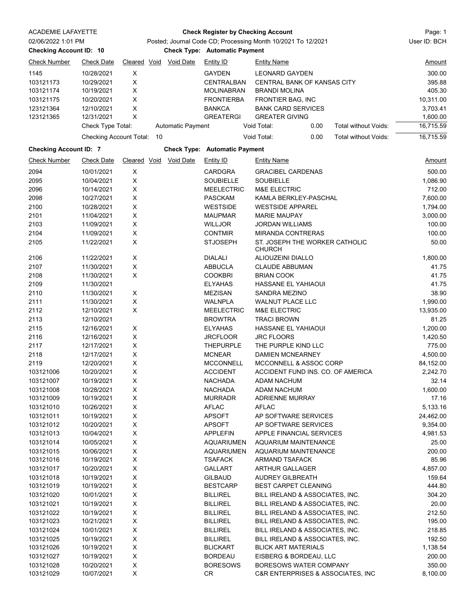| <b>ACADEMIE LAFAYETTE</b>      |                                | <b>Check Register by Checking Account</b>                    |    |                          |                                      |                                                    |                                     |                       |  |  |  |
|--------------------------------|--------------------------------|--------------------------------------------------------------|----|--------------------------|--------------------------------------|----------------------------------------------------|-------------------------------------|-----------------------|--|--|--|
| 02/06/2022 1:01 PM             |                                | Posted; Journal Code CD; Processing Month 10/2021 To 12/2021 |    |                          |                                      |                                                    |                                     | User ID: BCH          |  |  |  |
| <b>Checking Account ID: 10</b> |                                |                                                              |    |                          |                                      | <b>Check Type: Automatic Payment</b>               |                                     |                       |  |  |  |
| <b>Check Number</b>            | <b>Check Date</b>              |                                                              |    | Cleared Void Void Date   | Entity ID                            | <b>Entity Name</b>                                 |                                     | Amount                |  |  |  |
| 1145                           | 10/28/2021                     | X                                                            |    |                          | <b>GAYDEN</b>                        | <b>LEONARD GAYDEN</b>                              |                                     | 300.00                |  |  |  |
| 103121173                      | 10/29/2021                     | $\mathsf X$                                                  |    |                          | CENTRALBAN                           |                                                    | CENTRAL BANK OF KANSAS CITY         | 395.88                |  |  |  |
| 103121174                      | 10/19/2021                     | X                                                            |    |                          | <b>MOLINABRAN</b>                    | <b>BRANDI MOLINA</b>                               |                                     | 405.30                |  |  |  |
| 103121175                      | 10/20/2021                     | X                                                            |    |                          | <b>FRONTIERBA</b>                    | FRONTIER BAG, INC                                  |                                     | 10,311.00             |  |  |  |
|                                |                                | X                                                            |    |                          | <b>BANKCA</b>                        |                                                    |                                     | 3,703.41              |  |  |  |
| 123121364                      | 12/10/2021<br>12/31/2021       | X                                                            |    |                          | <b>GREATERGI</b>                     | <b>BANK CARD SERVICES</b>                          |                                     |                       |  |  |  |
| 123121365                      | Check Type Total:              |                                                              |    | <b>Automatic Payment</b> |                                      | <b>GREATER GIVING</b><br>Void Total:               | Total without Voids:<br>0.00        | 1,600.00<br>16,715.59 |  |  |  |
|                                | <b>Checking Account Total:</b> |                                                              | 10 |                          |                                      | Void Total:                                        | 0.00<br><b>Total without Voids:</b> | 16,715.59             |  |  |  |
|                                |                                |                                                              |    |                          |                                      |                                                    |                                     |                       |  |  |  |
| <b>Checking Account ID: 7</b>  |                                |                                                              |    |                          | <b>Check Type: Automatic Payment</b> |                                                    |                                     |                       |  |  |  |
| <b>Check Number</b>            | <b>Check Date</b>              | <b>Cleared Void</b>                                          |    | <b>Void Date</b>         | <b>Entity ID</b>                     | <b>Entity Name</b>                                 |                                     | Amount                |  |  |  |
| 2094                           | 10/01/2021                     | $\mathsf X$                                                  |    |                          | <b>CARDGRA</b>                       | <b>GRACIBEL CARDENAS</b>                           |                                     | 500.00                |  |  |  |
| 2095                           | 10/04/2021                     | X                                                            |    |                          | <b>SOUBIELLE</b>                     | <b>SOUBIELLE</b>                                   |                                     | 1,086.90              |  |  |  |
| 2096                           | 10/14/2021                     | $\pmb{\times}$                                               |    |                          | <b>MEELECTRIC</b>                    | <b>M&amp;E ELECTRIC</b>                            |                                     | 712.00                |  |  |  |
| 2098                           | 10/27/2021                     | X                                                            |    |                          | <b>PASCKAM</b>                       |                                                    | KAMLA BERKLEY-PASCHAL               | 7,600.00              |  |  |  |
| 2100                           | 10/28/2021                     | X                                                            |    |                          | <b>WESTSIDE</b>                      | <b>WESTSIDE APPAREL</b>                            |                                     | 1,794.00              |  |  |  |
| 2101                           | 11/04/2021                     | X                                                            |    |                          | <b>MAUPMAR</b>                       | <b>MARIE MAUPAY</b>                                |                                     | 3,000.00              |  |  |  |
| 2103                           | 11/09/2021                     | X                                                            |    |                          | <b>WILLJOR</b>                       | JORDAN WILLIAMS                                    |                                     | 100.00                |  |  |  |
| 2104                           | 11/09/2021                     | X                                                            |    |                          | <b>CONTMIR</b>                       | <b>MIRANDA CONTRERAS</b>                           |                                     | 100.00                |  |  |  |
| 2105                           | 11/22/2021                     | X                                                            |    |                          | <b>STJOSEPH</b>                      | CHURCH                                             | ST. JOSEPH THE WORKER CATHOLIC      | 50.00                 |  |  |  |
| 2106                           | 11/22/2021                     | X                                                            |    |                          | <b>DIALALI</b>                       | ALIOUZEINI DIALLO                                  |                                     | 1,800.00              |  |  |  |
| 2107                           | 11/30/2021                     | X                                                            |    |                          | <b>ABBUCLA</b>                       | <b>CLAUDE ABBUMAN</b>                              |                                     | 41.75                 |  |  |  |
| 2108                           | 11/30/2021                     | X                                                            |    |                          | <b>COOKBRI</b>                       | <b>BRIAN COOK</b>                                  |                                     | 41.75                 |  |  |  |
| 2109                           | 11/30/2021                     |                                                              |    |                          | <b>ELYAHAS</b>                       |                                                    | HASSANE EL YAHIAOUI                 | 41.75                 |  |  |  |
| 2110                           | 11/30/2021                     | X                                                            |    |                          | <b>MEZISAN</b>                       | <b>SANDRA MEZINO</b>                               |                                     | 38.90                 |  |  |  |
|                                |                                | $\mathsf X$                                                  |    |                          |                                      |                                                    |                                     |                       |  |  |  |
| 2111<br>2112                   | 11/30/2021                     | X                                                            |    |                          | <b>WALNPLA</b><br><b>MEELECTRIC</b>  | <b>WALNUT PLACE LLC</b><br><b>M&amp;E ELECTRIC</b> |                                     | 1,990.00<br>13,935.00 |  |  |  |
|                                | 12/10/2021                     |                                                              |    |                          |                                      |                                                    |                                     |                       |  |  |  |
| 2113                           | 12/10/2021                     |                                                              |    |                          | <b>BROWTRA</b>                       | <b>TRACI BROWN</b>                                 |                                     | 81.25                 |  |  |  |
| 2115                           | 12/16/2021                     | X                                                            |    |                          | <b>ELYAHAS</b>                       | <b>HASSANE EL YAHIAOUI</b>                         |                                     | 1,200.00              |  |  |  |
| 2116                           | 12/16/2021                     | $\mathsf X$                                                  |    |                          | <b>JRCFLOOR</b>                      | <b>JRC FLOORS</b>                                  |                                     | 1,420.50              |  |  |  |
| 2117                           | 12/17/2021                     | X                                                            |    |                          | <b>THEPURPLE</b>                     | THE PURPLE KIND LLC                                |                                     | 775.00                |  |  |  |
| 2118                           | 12/17/2021                     | X                                                            |    |                          | <b>MCNEAR</b>                        | <b>DAMIEN MCNEARNEY</b>                            |                                     | 4,500.00              |  |  |  |
| 2119                           | 12/20/2021                     | X                                                            |    |                          | <b>MCCONNELL</b>                     |                                                    | MCCONNELL & ASSOC CORP              | 84,152.00             |  |  |  |
| 103121006                      | 10/20/2021                     | $\sf X$                                                      |    |                          | <b>ACCIDENT</b>                      |                                                    | ACCIDENT FUND INS. CO. OF AMERICA   | 2,242.70              |  |  |  |
| 103121007                      | 10/19/2021                     | X                                                            |    |                          | <b>NACHADA</b>                       | <b>ADAM NACHUM</b>                                 |                                     | 32.14                 |  |  |  |
| 103121008                      | 10/28/2021                     | $\boldsymbol{\mathsf{X}}$                                    |    |                          | <b>NACHADA</b>                       | <b>ADAM NACHUM</b>                                 |                                     | 1,600.00              |  |  |  |
| 103121009                      | 10/19/2021                     | $\boldsymbol{\mathsf{X}}$                                    |    |                          | <b>MURRADR</b>                       | <b>ADRIENNE MURRAY</b>                             |                                     | 17.16                 |  |  |  |
| 103121010                      | 10/26/2021                     | X                                                            |    |                          | <b>AFLAC</b>                         | <b>AFLAC</b>                                       |                                     | 5,133.16              |  |  |  |
| 103121011                      | 10/19/2021                     | X                                                            |    |                          | <b>APSOFT</b>                        |                                                    | AP SOFTWARE SERVICES                | 24,462.00             |  |  |  |
| 103121012                      | 10/20/2021                     | X                                                            |    |                          | <b>APSOFT</b>                        |                                                    | AP SOFTWARE SERVICES                | 9,354.00              |  |  |  |
| 103121013                      | 10/04/2021                     | X                                                            |    |                          | <b>APPLEFIN</b>                      |                                                    | APPLE FINANCIAL SERVICES            | 4,981.53              |  |  |  |
| 103121014                      | 10/05/2021                     | X                                                            |    |                          | <b>AQUARIUMEN</b>                    |                                                    | <b>AQUARIUM MAINTENANCE</b>         | 25.00                 |  |  |  |
| 103121015                      | 10/06/2021                     | X                                                            |    |                          | <b>AQUARIUMEN</b>                    |                                                    | <b>AQUARIUM MAINTENANCE</b>         | 200.00                |  |  |  |
| 103121016                      | 10/19/2021                     | X                                                            |    |                          | TSAFACK                              | ARMAND TSAFACK                                     |                                     | 85.96                 |  |  |  |
| 103121017                      | 10/20/2021                     | X                                                            |    |                          | <b>GALLART</b>                       | ARTHUR GALLAGER                                    |                                     | 4,857.00              |  |  |  |
|                                |                                |                                                              |    |                          |                                      |                                                    |                                     |                       |  |  |  |
| 103121018                      | 10/19/2021                     | X<br>X                                                       |    |                          | <b>GILBAUD</b><br><b>BESTCARP</b>    | <b>AUDREY GILBREATH</b>                            | BEST CARPET CLEANING                | 159.64<br>444.80      |  |  |  |
| 103121019                      | 10/19/2021                     |                                                              |    |                          |                                      |                                                    |                                     |                       |  |  |  |
| 103121020                      | 10/01/2021                     | X                                                            |    |                          | <b>BILLIREL</b>                      |                                                    | BILL IRELAND & ASSOCIATES, INC.     | 304.20                |  |  |  |
| 103121021                      | 10/19/2021                     | X                                                            |    |                          | <b>BILLIREL</b>                      |                                                    | BILL IRELAND & ASSOCIATES, INC.     | 20.00                 |  |  |  |
| 103121022                      | 10/19/2021                     | X                                                            |    |                          | <b>BILLIREL</b>                      |                                                    | BILL IRELAND & ASSOCIATES, INC.     | 212.50                |  |  |  |
| 103121023                      | 10/21/2021                     | X                                                            |    |                          | <b>BILLIREL</b>                      |                                                    | BILL IRELAND & ASSOCIATES, INC.     | 195.00                |  |  |  |
| 103121024                      | 10/01/2021                     | X                                                            |    |                          | <b>BILLIREL</b>                      |                                                    | BILL IRELAND & ASSOCIATES, INC.     | 218.85                |  |  |  |
| 103121025                      | 10/19/2021                     | X                                                            |    |                          | <b>BILLIREL</b>                      |                                                    | BILL IRELAND & ASSOCIATES, INC.     | 192.50                |  |  |  |
| 103121026                      | 10/19/2021                     | X                                                            |    |                          | <b>BLICKART</b>                      | <b>BLICK ART MATERIALS</b>                         |                                     | 1,138.54              |  |  |  |
| 103121027                      | 10/19/2021                     | X                                                            |    |                          | <b>BORDEAU</b>                       |                                                    | EISBERG & BORDEAU, LLC              | 200.00                |  |  |  |
| 103121028                      | 10/20/2021                     | $\boldsymbol{\mathsf{X}}$                                    |    |                          | <b>BORESOWS</b>                      |                                                    | BORESOWS WATER COMPANY              | 350.00                |  |  |  |
| 103121029                      | 10/07/2021                     | X                                                            |    |                          | <b>CR</b>                            |                                                    | C&R ENTERPRISES & ASSOCIATES, INC   | 8,100.00              |  |  |  |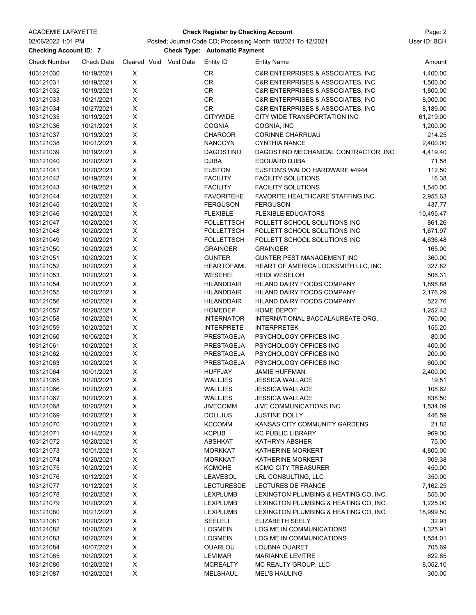### ACADEMIE LAFAYETTE Page: 2 **Check Register by Checking Account**

**Checking Account ID: 7 Automatic Payment** Check Type: Automatic Payment Posted; Journal Code CD; Processing Month 10/2021 To 12/2021 User ID: BCH

| <b>Check Number</b> | <b>Check Date</b> |                | Cleared Void Void Date | <b>Entity ID</b>  | <b>Entity Name</b>                    | <u>Amount</u> |
|---------------------|-------------------|----------------|------------------------|-------------------|---------------------------------------|---------------|
| 103121030           | 10/19/2021        | X              |                        | CR                | C&R ENTERPRISES & ASSOCIATES, INC     | 1,400.00      |
| 103121031           | 10/19/2021        | X              |                        | CR                | C&R ENTERPRISES & ASSOCIATES, INC     | 1,500.00      |
| 103121032           | 10/19/2021        | X              |                        | CR                | C&R ENTERPRISES & ASSOCIATES, INC     | 1,800.00      |
| 103121033           | 10/21/2021        | X              |                        | CR                | C&R ENTERPRISES & ASSOCIATES, INC     | 8,000.00      |
| 103121034           | 10/27/2021        | X              |                        | CR                | C&R ENTERPRISES & ASSOCIATES, INC     | 8,189.00      |
| 103121035           | 10/19/2021        | X              |                        | <b>CITYWIDE</b>   | CITY WIDE TRANSPORTATION INC          | 61,219.00     |
| 103121036           | 10/21/2021        | $\mathsf X$    |                        | <b>COGNIA</b>     | COGNIA, INC                           | 1,200.00      |
| 103121037           | 10/19/2021        | $\pmb{\times}$ |                        | <b>CHARCOR</b>    | <b>CORINNE CHARRUAU</b>               | 214.25        |
| 103121038           | 10/01/2021        | X              |                        | <b>NANCCYN</b>    | <b>CYNTHIA NANCE</b>                  | 2,400.00      |
| 103121039           | 10/19/2021        | X              |                        | <b>DAGOSTINO</b>  | DAGOSTINO MECHANICAL CONTRACTOR, INC  | 4,419.40      |
| 103121040           | 10/20/2021        | X              |                        | <b>DJIBA</b>      | EDOUARD DJIBA                         | 71.58         |
| 103121041           | 10/20/2021        | $\mathsf X$    |                        | <b>EUSTON</b>     | EUSTON'S WALDO HARDWARE #4944         | 112.50        |
| 103121042           | 10/19/2021        | $\mathsf X$    |                        | <b>FACILITY</b>   | <b>FACILITY SOLUTIONS</b>             | 16.38         |
| 103121043           | 10/19/2021        | $\mathsf X$    |                        | <b>FACILITY</b>   | <b>FACILITY SOLUTIONS</b>             | 1,540.00      |
| 103121044           | 10/20/2021        | $\pmb{\times}$ |                        | <b>FAVORITEHE</b> | FAVORITE HEALTHCARE STAFFING INC      | 2,955.63      |
| 103121045           | 10/20/2021        | $\pmb{\times}$ |                        | <b>FERGUSON</b>   | <b>FERGUSON</b>                       | 437.77        |
| 103121046           | 10/20/2021        | X              |                        | <b>FLEXIBLE</b>   | <b>FLEXIBLE EDUCATORS</b>             | 10,495.47     |
| 103121047           | 10/20/2021        | X              |                        | <b>FOLLETTSCH</b> | FOLLETT SCHOOL SOLUTIONS INC          | 861.26        |
| 103121048           | 10/20/2021        | X              |                        | <b>FOLLETTSCH</b> | FOLLETT SCHOOL SOLUTIONS INC          | 1,671.97      |
| 103121049           | 10/20/2021        | $\mathsf X$    |                        | <b>FOLLETTSCH</b> | FOLLETT SCHOOL SOLUTIONS INC          | 4,636.48      |
| 103121050           | 10/20/2021        | $\mathsf X$    |                        | <b>GRAINGER</b>   | <b>GRAINGER</b>                       | 165.00        |
| 103121051           | 10/20/2021        | X              |                        | <b>GUNTER</b>     | GUNTER PEST MANAGEMENT INC            | 360.00        |
| 103121052           | 10/20/2021        | $\mathsf X$    |                        | <b>HEARTOFAML</b> | HEART OF AMERICA LOCKSMITH LLC, INC   | 327.82        |
| 103121053           | 10/20/2021        | $\mathsf X$    |                        | WESEHEI           | <b>HEIDI WESELOH</b>                  | 506.31        |
| 103121054           | 10/20/2021        | $\pmb{\times}$ |                        | <b>HILANDDAIR</b> | HILAND DAIRY FOODS COMPANY            | 1,898.88      |
| 103121055           | 10/20/2021        | X              |                        | <b>HILANDDAIR</b> | HILAND DAIRY FOODS COMPANY            | 2,176.29      |
| 103121056           | 10/20/2021        | X              |                        | <b>HILANDDAIR</b> | HILAND DAIRY FOODS COMPANY            | 522.76        |
| 103121057           | 10/20/2021        | $\mathsf X$    |                        | <b>HOMEDEP</b>    | <b>HOME DEPOT</b>                     | 1,252.42      |
| 103121058           | 10/20/2021        | $\pmb{\times}$ |                        | <b>INTERNATOR</b> | INTERNATIONAL BACCALAUREATE ORG.      | 760.00        |
| 103121059           | 10/20/2021        | X              |                        | <b>INTERPRETE</b> | <b>INTERPRETEK</b>                    | 155.20        |
| 103121060           | 10/06/2021        | X              |                        | PRESTAGEJA        | PSYCHOLOGY OFFICES INC                | 80.00         |
| 103121061           | 10/20/2021        | $\pmb{\times}$ |                        | PRESTAGEJA        | PSYCHOLOGY OFFICES INC                | 400.00        |
| 103121062           | 10/20/2021        | X              |                        | PRESTAGEJA        | PSYCHOLOGY OFFICES INC                | 200.00        |
| 103121063           | 10/20/2021        | X              |                        | PRESTAGEJA        | PSYCHOLOGY OFFICES INC                | 600.00        |
| 103121064           | 10/01/2021        | X              |                        | <b>HUFFJAY</b>    | <b>JAMIE HUFFMAN</b>                  | 2,400.00      |
| 103121065           | 10/20/2021        | X              |                        | WALLJES           | <b>JESSICA WALLACE</b>                | 19.51         |
| 103121066           | 10/20/2021        | X              |                        | WALLJES           | <b>JESSICA WALLACE</b>                | 108.62        |
| 103121067           | 10/20/2021        | X              |                        | WALLJES           | <b>JESSICA WALLACE</b>                | 838.50        |
| 103121068           | 10/20/2021        | $\mathsf X$    |                        | <b>JIVECOMM</b>   | JIVE COMMUNICATIONS INC               | 1,534.09      |
| 103121069           | 10/20/2021        | X              |                        | <b>DOLLJUS</b>    | <b>JUSTINE DOLLY</b>                  | 446.59        |
| 103121070           | 10/20/2021        | X              |                        | <b>KCCOMM</b>     | KANSAS CITY COMMUNITY GARDENS         | 21.82         |
| 103121071           | 10/14/2021        | X              |                        | <b>KCPUB</b>      | <b>KC PUBLIC LIBRARY</b>              | 969.00        |
| 103121072           | 10/20/2021        | X              |                        | <b>ABSHKAT</b>    | KATHRYN ABSHER                        | 75.00         |
| 103121073           | 10/01/2021        | X              |                        | <b>MORKKAT</b>    | KATHERINE MORKERT                     | 4,800.00      |
| 103121074           | 10/20/2021        | Χ              |                        | <b>MORKKAT</b>    | KATHERINE MORKERT                     | 909.38        |
| 103121075           | 10/20/2021        | X              |                        | <b>KCMOHE</b>     | <b>KCMO CITY TREASURER</b>            | 450.00        |
| 103121076           | 10/12/2021        | X              |                        | <b>LEAVESOL</b>   | LRL CONSULTING, LLC                   | 350.00        |
| 103121077           | 10/12/2021        | $\mathsf X$    |                        | <b>LECTURESDE</b> | LECTURES DE FRANCE                    | 7,162.25      |
| 103121078           | 10/20/2021        | $\pmb{\times}$ |                        | <b>LEXPLUMB</b>   | LEXINGTON PLUMBING & HEATING CO, INC. | 555.00        |
|                     |                   |                |                        |                   |                                       |               |
| 103121079           | 10/20/2021        | X              |                        | <b>LEXPLUMB</b>   | LEXINGTON PLUMBING & HEATING CO, INC. | 1,225.00      |
| 103121080           | 10/21/2021        | X              |                        | <b>LEXPLUMB</b>   | LEXINGTON PLUMBING & HEATING CO, INC. | 18,999.50     |
| 103121081           | 10/20/2021        | X              |                        | <b>SEELELI</b>    | ELIZABETH SEELY                       | 32.93         |
| 103121082           | 10/20/2021        | Χ              |                        | <b>LOGMEIN</b>    | LOG ME IN COMMUNICATIONS              | 1,325.91      |
| 103121083           | 10/20/2021        | X              |                        | <b>LOGMEIN</b>    | LOG ME IN COMMUNICATIONS              | 1,554.01      |
| 103121084           | 10/07/2021        | X              |                        | <b>OUARLOU</b>    | LOUBNA OUARET                         | 705.69        |
| 103121085           | 10/20/2021        | X              |                        | LEVIMAR           | <b>MARIANNE LEVITRE</b>               | 622.65        |
| 103121086           | 10/20/2021        | X              |                        | <b>MCREALTY</b>   | MC REALTY GROUP, LLC                  | 8,052.10      |
| 103121087           | 10/20/2021        | X              |                        | <b>MELSHAUL</b>   | <b>MEL'S HAULING</b>                  | 300.00        |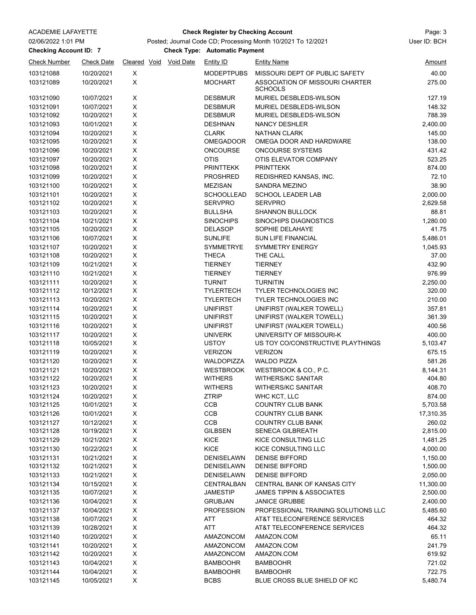| 02/06/2022 1:01 PM            |                          |              | Posted; Journal Code CD; Processing Month 10/2021 To 12/2021 |                  |                                      |                                                   |                       |  |  |  |
|-------------------------------|--------------------------|--------------|--------------------------------------------------------------|------------------|--------------------------------------|---------------------------------------------------|-----------------------|--|--|--|
| <b>Checking Account ID: 7</b> |                          |              |                                                              |                  | <b>Check Type: Automatic Payment</b> |                                                   |                       |  |  |  |
| <b>Check Number</b>           | <b>Check Date</b>        | Cleared Void |                                                              | <b>Void Date</b> | <b>Entity ID</b>                     | <b>Entity Name</b>                                | <u>Amount</u>         |  |  |  |
| 103121088                     | 10/20/2021               | X            |                                                              |                  | <b>MODEPTPUBS</b>                    | MISSOURI DEPT OF PUBLIC SAFETY                    | 40.00                 |  |  |  |
| 103121089                     | 10/20/2021               | X            |                                                              |                  | <b>MOCHART</b>                       | ASSOCIATION OF MISSOURI CHARTER<br><b>SCHOOLS</b> | 275.00                |  |  |  |
| 103121090                     | 10/07/2021               | X            |                                                              |                  | <b>DESBMUR</b>                       | MURIEL DESBLEDS-WILSON                            | 127.19                |  |  |  |
| 103121091                     | 10/07/2021               | X            |                                                              |                  | <b>DESBMUR</b>                       | MURIEL DESBLEDS-WILSON                            | 148.32                |  |  |  |
| 103121092                     | 10/20/2021               | X            |                                                              |                  | <b>DESBMUR</b>                       | MURIEL DESBLEDS-WILSON                            | 788.39                |  |  |  |
| 103121093                     | 10/01/2021               | X            |                                                              |                  | <b>DESHNAN</b>                       | <b>NANCY DESHLER</b>                              | 2,400.00              |  |  |  |
| 103121094                     | 10/20/2021               | X            |                                                              |                  | <b>CLARK</b>                         | <b>NATHAN CLARK</b>                               | 145.00                |  |  |  |
| 103121095                     | 10/20/2021               | X            |                                                              |                  | <b>OMEGADOOR</b>                     | OMEGA DOOR AND HARDWARE                           | 138.00                |  |  |  |
| 103121096                     | 10/20/2021               | X            |                                                              |                  | <b>ONCOURSE</b>                      | <b>ONCOURSE SYSTEMS</b>                           | 431.42                |  |  |  |
| 103121097<br>103121098        | 10/20/2021<br>10/20/2021 | X<br>X       |                                                              |                  | <b>OTIS</b><br><b>PRINTTEKK</b>      | OTIS ELEVATOR COMPANY<br><b>PRINTTEKK</b>         | 523.25<br>874.00      |  |  |  |
| 103121099                     | 10/20/2021               | X            |                                                              |                  | <b>PROSHRED</b>                      | REDISHRED KANSAS, INC.                            | 72.10                 |  |  |  |
| 103121100                     | 10/20/2021               | X            |                                                              |                  | <b>MEZISAN</b>                       | SANDRA MEZINO                                     | 38.90                 |  |  |  |
| 103121101                     | 10/20/2021               | X            |                                                              |                  | <b>SCHOOLLEAD</b>                    | <b>SCHOOL LEADER LAB</b>                          | 2,000.00              |  |  |  |
| 103121102                     | 10/20/2021               | X            |                                                              |                  | <b>SERVPRO</b>                       | <b>SERVPRO</b>                                    | 2,629.58              |  |  |  |
| 103121103                     | 10/20/2021               | X            |                                                              |                  | <b>BULLSHA</b>                       | <b>SHANNON BULLOCK</b>                            | 88.81                 |  |  |  |
| 103121104                     | 10/21/2021               | X            |                                                              |                  | <b>SINOCHIPS</b>                     | SINOCHIPS DIAGNOSTICS                             | 1,280.00              |  |  |  |
| 103121105                     | 10/20/2021               | X            |                                                              |                  | <b>DELASOP</b>                       | SOPHIE DELAHAYE                                   | 41.75                 |  |  |  |
| 103121106                     | 10/07/2021               | X            |                                                              |                  | <b>SUNLIFE</b>                       | <b>SUN LIFE FINANCIAL</b>                         | 5,486.01              |  |  |  |
| 103121107                     | 10/20/2021               | X            |                                                              |                  | SYMMETRYE                            | <b>SYMMETRY ENERGY</b>                            | 1,045.93              |  |  |  |
| 103121108                     | 10/20/2021               | X            |                                                              |                  | <b>THECA</b>                         | THE CALL                                          | 37.00                 |  |  |  |
| 103121109                     | 10/21/2021               | X            |                                                              |                  | <b>TIERNEY</b>                       | <b>TIERNEY</b>                                    | 432.90                |  |  |  |
| 103121110                     | 10/21/2021               | X            |                                                              |                  | <b>TIERNEY</b>                       | <b>TIERNEY</b>                                    | 976.99                |  |  |  |
| 103121111                     | 10/20/2021               | X            |                                                              |                  | <b>TURNIT</b>                        | <b>TURNITIN</b>                                   | 2,250.00              |  |  |  |
| 103121112                     | 10/12/2021               | X            |                                                              |                  | <b>TYLERTECH</b>                     | TYLER TECHNOLOGIES INC                            | 320.00                |  |  |  |
| 103121113                     | 10/20/2021               | X            |                                                              |                  | <b>TYLERTECH</b>                     | TYLER TECHNOLOGIES INC                            | 210.00                |  |  |  |
| 103121114                     | 10/20/2021               | X            |                                                              |                  | <b>UNIFIRST</b>                      | UNIFIRST (WALKER TOWELL)                          | 357.81                |  |  |  |
| 103121115                     | 10/20/2021               | X            |                                                              |                  | <b>UNIFIRST</b>                      | UNIFIRST (WALKER TOWELL)                          | 361.39                |  |  |  |
| 103121116                     | 10/20/2021               | X            |                                                              |                  | <b>UNIFIRST</b>                      | UNIFIRST (WALKER TOWELL)                          | 400.56                |  |  |  |
| 103121117                     | 10/20/2021               | X            |                                                              |                  | <b>UNIVERK</b>                       | UNIVERSITY OF MISSOURI-K                          | 400.00                |  |  |  |
| 103121118                     | 10/05/2021               | X            |                                                              |                  | <b>USTOY</b>                         | US TOY CO/CONSTRUCTIVE PLAYTHINGS                 | 5,103.47              |  |  |  |
| 103121119                     | 10/20/2021               | X            |                                                              |                  | <b>VERIZON</b>                       | <b>VERIZON</b>                                    | 675.15                |  |  |  |
| 103121120                     | 10/20/2021               | X            |                                                              |                  | WALDOPIZZA                           | <b>WALDO PIZZA</b>                                | 581.26                |  |  |  |
| 103121121                     | 10/20/2021               | X            |                                                              |                  | <b>WESTBROOK</b>                     | WESTBROOK & CO., P.C.                             | 8.144.31              |  |  |  |
| 103121122                     | 10/20/2021               | X            |                                                              |                  | <b>WITHERS</b>                       | <b>WITHERS/KC SANITAR</b>                         | 404.80                |  |  |  |
| 103121123                     | 10/20/2021               | X            |                                                              |                  | <b>WITHERS</b>                       | WITHERS/KC SANITAR                                | 408.70                |  |  |  |
| 103121124<br>103121125        | 10/20/2021               | х<br>X       |                                                              |                  | <b>ZTRIP</b><br>CCB                  | WHC KCT, LLC<br><b>COUNTRY CLUB BANK</b>          | 874.00                |  |  |  |
| 103121126                     | 10/01/2021<br>10/01/2021 | X            |                                                              |                  | CCB                                  | <b>COUNTRY CLUB BANK</b>                          | 5,703.58<br>17,310.35 |  |  |  |
| 103121127                     | 10/12/2021               | X            |                                                              |                  | <b>CCB</b>                           | <b>COUNTRY CLUB BANK</b>                          | 260.02                |  |  |  |
| 103121128                     | 10/19/2021               | X            |                                                              |                  | <b>GILBSEN</b>                       | SENECA GILBREATH                                  | 2,815.00              |  |  |  |
| 103121129                     | 10/21/2021               | X            |                                                              |                  | KICE                                 | KICE CONSULTING LLC                               | 1,481.25              |  |  |  |
| 103121130                     | 10/22/2021               | X            |                                                              |                  | <b>KICE</b>                          | KICE CONSULTING LLC                               | 4,000.00              |  |  |  |
| 103121131                     | 10/21/2021               | X            |                                                              |                  | <b>DENISELAWN</b>                    | <b>DENISE BIFFORD</b>                             | 1,150.00              |  |  |  |
| 103121132                     | 10/21/2021               | X            |                                                              |                  | DENISELAWN                           | <b>DENISE BIFFORD</b>                             | 1,500.00              |  |  |  |
| 103121133                     | 10/21/2021               | X            |                                                              |                  | <b>DENISELAWN</b>                    | <b>DENISE BIFFORD</b>                             | 2,050.00              |  |  |  |
| 103121134                     | 10/15/2021               | X            |                                                              |                  | <b>CENTRALBAN</b>                    | CENTRAL BANK OF KANSAS CITY                       | 11,300.00             |  |  |  |
| 103121135                     | 10/07/2021               | X            |                                                              |                  | <b>JAMESTIP</b>                      | <b>JAMES TIPPIN &amp; ASSOCIATES</b>              | 2,500.00              |  |  |  |
| 103121136                     | 10/04/2021               | X            |                                                              |                  | <b>GRUBJAN</b>                       | <b>JANICE GRUBBE</b>                              | 2,400.00              |  |  |  |
| 103121137                     | 10/04/2021               | X            |                                                              |                  | <b>PROFESSION</b>                    | PROFESSIONAL TRAINING SOLUTIONS LLC               | 5,485.60              |  |  |  |
| 103121138                     | 10/07/2021               | X            |                                                              |                  | ATT                                  | AT&T TELECONFERENCE SERVICES                      | 464.32                |  |  |  |
| 103121139                     | 10/28/2021               | X            |                                                              |                  | <b>ATT</b>                           | AT&T TELECONFERENCE SERVICES                      | 464.32                |  |  |  |
| 103121140                     | 10/20/2021               | X            |                                                              |                  | AMAZONCOM                            | AMAZON.COM                                        | 65.11                 |  |  |  |
| 103121141                     | 10/20/2021               | X            |                                                              |                  | AMAZONCOM                            | AMAZON.COM                                        | 241.79                |  |  |  |
| 103121142                     | 10/20/2021               | X            |                                                              |                  | AMAZONCOM                            | AMAZON.COM                                        | 619.92                |  |  |  |
| 103121143                     | 10/04/2021               | X            |                                                              |                  | <b>BAMBOOHR</b>                      | <b>BAMBOOHR</b>                                   | 721.02                |  |  |  |
| 103121144                     | 10/04/2021               | X            |                                                              |                  | <b>BAMBOOHR</b>                      | <b>BAMBOOHR</b>                                   | 722.75                |  |  |  |
| 103121145                     | 10/05/2021               | X            |                                                              |                  | <b>BCBS</b>                          | BLUE CROSS BLUE SHIELD OF KC                      | 5,480.74              |  |  |  |

ACADEMIE LAFAYETTE Page: 3 **Check Register by Checking Account**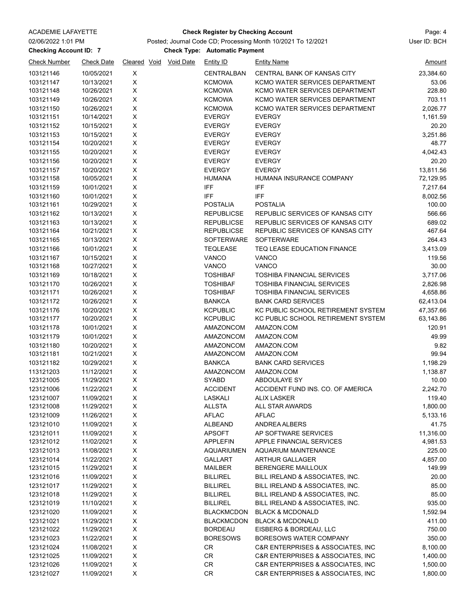### ACADEMIE LAFAYETTE Page: 4 **Check Register by Checking Account**

# Posted; Journal Code CD; Processing Month 10/2021 To 12/2021 User ID: BCH

**Checking Account ID: 7 Automatic Payment** Check Type: Automatic Payment

| <b>Check Number</b> | <b>Check Date</b> |             | Cleared Void Void Date | Entity ID         | <b>Entity Name</b>                 | Amount    |
|---------------------|-------------------|-------------|------------------------|-------------------|------------------------------------|-----------|
| 103121146           | 10/05/2021        | Χ           |                        | <b>CENTRALBAN</b> | CENTRAL BANK OF KANSAS CITY        | 23,384.60 |
| 103121147           | 10/13/2021        | X           |                        | <b>KCMOWA</b>     | KCMO WATER SERVICES DEPARTMENT     | 53.06     |
| 103121148           | 10/26/2021        | X           |                        | <b>KCMOWA</b>     | KCMO WATER SERVICES DEPARTMENT     | 228.80    |
| 103121149           | 10/26/2021        | X           |                        | <b>KCMOWA</b>     | KCMO WATER SERVICES DEPARTMENT     | 703.11    |
| 103121150           | 10/26/2021        | X           |                        | <b>KCMOWA</b>     | KCMO WATER SERVICES DEPARTMENT     | 2,026.77  |
| 103121151           | 10/14/2021        | X           |                        | <b>EVERGY</b>     | <b>EVERGY</b>                      | 1,161.59  |
| 103121152           | 10/15/2021        | X           |                        | <b>EVERGY</b>     | <b>EVERGY</b>                      | 20.20     |
| 103121153           | 10/15/2021        | X           |                        | <b>EVERGY</b>     | <b>EVERGY</b>                      | 3,251.86  |
| 103121154           | 10/20/2021        | X           |                        | <b>EVERGY</b>     | <b>EVERGY</b>                      | 48.77     |
| 103121155           | 10/20/2021        | X           |                        | <b>EVERGY</b>     | <b>EVERGY</b>                      | 4,042.43  |
| 103121156           | 10/20/2021        | X           |                        | <b>EVERGY</b>     | <b>EVERGY</b>                      | 20.20     |
| 103121157           | 10/20/2021        | X           |                        | <b>EVERGY</b>     | <b>EVERGY</b>                      | 13,811.56 |
| 103121158           | 10/05/2021        | X           |                        | <b>HUMANA</b>     | HUMANA INSURANCE COMPANY           | 72,129.95 |
| 103121159           | 10/01/2021        | X           |                        | <b>IFF</b>        | <b>IFF</b>                         | 7,217.64  |
| 103121160           | 10/01/2021        | X           |                        | <b>IFF</b>        | <b>IFF</b>                         | 8,002.56  |
| 103121161           | 10/29/2021        | Χ           |                        | <b>POSTALIA</b>   | <b>POSTALIA</b>                    | 100.00    |
| 103121162           | 10/13/2021        | X           |                        | <b>REPUBLICSE</b> | REPUBLIC SERVICES OF KANSAS CITY   | 566.66    |
| 103121163           | 10/13/2021        | X           |                        | <b>REPUBLICSE</b> | REPUBLIC SERVICES OF KANSAS CITY   | 689.02    |
| 103121164           | 10/21/2021        | X           |                        | <b>REPUBLICSE</b> | REPUBLIC SERVICES OF KANSAS CITY   | 467.64    |
| 103121165           | 10/13/2021        | X           |                        | <b>SOFTERWARE</b> | <b>SOFTERWARE</b>                  | 264.43    |
| 103121166           | 10/01/2021        | X           |                        | <b>TEQLEASE</b>   | <b>TEQ LEASE EDUCATION FINANCE</b> | 3,413.09  |
| 103121167           | 10/15/2021        | X           |                        | VANCO             | <b>VANCO</b>                       | 119.56    |
| 103121168           | 10/27/2021        | X           |                        | <b>VANCO</b>      | <b>VANCO</b>                       | 30.00     |
| 103121169           | 10/18/2021        | X           |                        | <b>TOSHIBAF</b>   | <b>TOSHIBA FINANCIAL SERVICES</b>  | 3,717.06  |
|                     |                   | X           |                        |                   | <b>TOSHIBA FINANCIAL SERVICES</b>  |           |
| 103121170           | 10/26/2021        |             |                        | <b>TOSHIBAF</b>   |                                    | 2,826.98  |
| 103121171           | 10/26/2021        | X           |                        | <b>TOSHIBAF</b>   | <b>TOSHIBA FINANCIAL SERVICES</b>  | 4,658.86  |
| 103121172           | 10/26/2021        | X           |                        | <b>BANKCA</b>     | <b>BANK CARD SERVICES</b>          | 62,413.04 |
| 103121176           | 10/20/2021        | X           |                        | <b>KCPUBLIC</b>   | KC PUBLIC SCHOOL RETIREMENT SYSTEM | 47,357.66 |
| 103121177           | 10/20/2021        | X           |                        | <b>KCPUBLIC</b>   | KC PUBLIC SCHOOL RETIREMENT SYSTEM | 63,143.86 |
| 103121178           | 10/01/2021        | $\mathsf X$ |                        | AMAZONCOM         | AMAZON.COM                         | 120.91    |
| 103121179           | 10/01/2021        | X           |                        | AMAZONCOM         | AMAZON.COM                         | 49.99     |
| 103121180           | 10/20/2021        | X           |                        | AMAZONCOM         | AMAZON.COM                         | 9.82      |
| 103121181           | 10/21/2021        | Χ           |                        | AMAZONCOM         | AMAZON.COM                         | 99.94     |
| 103121182           | 10/29/2021        | X           |                        | <b>BANKCA</b>     | <b>BANK CARD SERVICES</b>          | 1,198.29  |
| 113121203           | 11/12/2021        | X           |                        | AMAZONCOM         | AMAZON.COM                         | 1,138.87  |
| 123121005           | 11/29/2021        | X           |                        | SYABD             | ABDOULAYE SY                       | 10.00     |
| 123121006           | 11/22/2021        | X           |                        | <b>ACCIDENT</b>   | ACCIDENT FUND INS. CO. OF AMERICA  | 2,242.70  |
| 123121007           | 11/09/2021        | X           |                        | <b>LASKALI</b>    | <b>ALIX LASKER</b>                 | 119.40    |
| 123121008           | 11/29/2021        | X           |                        | <b>ALLSTA</b>     | ALL STAR AWARDS                    | 1,800.00  |
| 123121009           | 11/26/2021        | х           |                        | <b>AFLAC</b>      | <b>AFLAC</b>                       | 5,133.16  |
| 123121010           | 11/09/2021        | X           |                        | <b>ALBEAND</b>    | <b>ANDREA ALBERS</b>               | 41.75     |
| 123121011           | 11/09/2021        | X           |                        | <b>APSOFT</b>     | AP SOFTWARE SERVICES               | 11,316.00 |
| 123121012           | 11/02/2021        | X           |                        | <b>APPLEFIN</b>   | APPLE FINANCIAL SERVICES           | 4,981.53  |
| 123121013           | 11/08/2021        | X           |                        | <b>AQUARIUMEN</b> | <b>AQUARIUM MAINTENANCE</b>        | 225.00    |
| 123121014           | 11/22/2021        | X           |                        | GALLART           | <b>ARTHUR GALLAGER</b>             | 4,857.00  |
| 123121015           | 11/29/2021        | X           |                        | MAILBER           | <b>BERENGERE MAILLOUX</b>          | 149.99    |
| 123121016           | 11/09/2021        | X           |                        | <b>BILLIREL</b>   | BILL IRELAND & ASSOCIATES, INC.    | 20.00     |
| 123121017           | 11/29/2021        | X           |                        | <b>BILLIREL</b>   | BILL IRELAND & ASSOCIATES, INC.    | 85.00     |
| 123121018           | 11/29/2021        | X           |                        | <b>BILLIREL</b>   | BILL IRELAND & ASSOCIATES, INC.    | 85.00     |
| 123121019           | 11/10/2021        | X           |                        | <b>BILLIREL</b>   | BILL IRELAND & ASSOCIATES, INC.    | 935.00    |
| 123121020           | 11/09/2021        | X           |                        | <b>BLACKMCDON</b> | <b>BLACK &amp; MCDONALD</b>        | 1,592.94  |
| 123121021           | 11/29/2021        | X           |                        | <b>BLACKMCDON</b> | <b>BLACK &amp; MCDONALD</b>        | 411.00    |
| 123121022           | 11/29/2021        | X           |                        | <b>BORDEAU</b>    | EISBERG & BORDEAU, LLC             | 750.00    |
| 123121023           | 11/22/2021        | X           |                        | <b>BORESOWS</b>   | BORESOWS WATER COMPANY             | 350.00    |
| 123121024           | 11/08/2021        | X           |                        | CR.               | C&R ENTERPRISES & ASSOCIATES, INC  | 8,100.00  |
| 123121025           | 11/09/2021        | X           |                        | CR                | C&R ENTERPRISES & ASSOCIATES, INC  | 1,400.00  |
| 123121026           | 11/09/2021        | X           |                        | CR                | C&R ENTERPRISES & ASSOCIATES, INC  | 1,500.00  |
| 123121027           | 11/09/2021        | X           |                        | CR                | C&R ENTERPRISES & ASSOCIATES, INC  | 1,800.00  |
|                     |                   |             |                        |                   |                                    |           |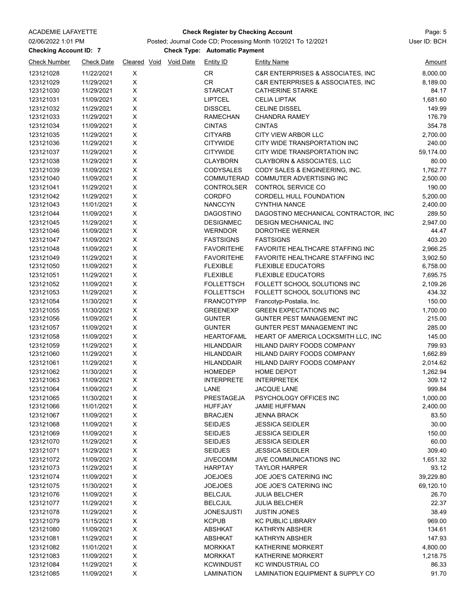| 02/06/2022 1:01 PM<br><b>Checking Account ID: 7</b> | Posted; Journal Code CD; Processing Month 10/2021 To 12/2021<br><b>Check Type: Automatic Payment</b> |                  | User ID: BCH           |                                  |                                                             |                    |
|-----------------------------------------------------|------------------------------------------------------------------------------------------------------|------------------|------------------------|----------------------------------|-------------------------------------------------------------|--------------------|
| <b>Check Number</b>                                 | <b>Check Date</b>                                                                                    |                  | Cleared Void Void Date | <b>Entity ID</b>                 | <b>Entity Name</b>                                          | <u>Amount</u>      |
| 123121028                                           | 11/22/2021                                                                                           | X                |                        | CR                               | C&R ENTERPRISES & ASSOCIATES, INC                           | 8,000.00           |
| 123121029                                           | 11/29/2021                                                                                           | X                |                        | CR                               | C&R ENTERPRISES & ASSOCIATES, INC                           | 8,189.00           |
| 123121030                                           | 11/29/2021                                                                                           | $\mathsf X$      |                        | <b>STARCAT</b>                   | <b>CATHERINE STARKE</b>                                     | 84.17              |
| 123121031                                           | 11/09/2021                                                                                           | $\mathsf X$      |                        | <b>LIPTCEL</b>                   | <b>CELIA LIPTAK</b>                                         | 1,681.60           |
| 123121032                                           | 11/29/2021                                                                                           | X                |                        | <b>DISSCEL</b>                   | <b>CELINE DISSEL</b>                                        | 149.99             |
| 123121033                                           | 11/29/2021                                                                                           | X                |                        | <b>RAMECHAN</b>                  | <b>CHANDRA RAMEY</b>                                        | 176.79             |
| 123121034                                           | 11/09/2021                                                                                           | X                |                        | <b>CINTAS</b>                    | <b>CINTAS</b>                                               | 354.78             |
| 123121035                                           | 11/29/2021                                                                                           | X                |                        | <b>CITYARB</b>                   | <b>CITY VIEW ARBOR LLC</b>                                  | 2,700.00           |
| 123121036                                           | 11/29/2021                                                                                           | X                |                        | <b>CITYWIDE</b>                  | CITY WIDE TRANSPORTATION INC                                | 240.00             |
| 123121037                                           | 11/29/2021                                                                                           | $\mathsf X$      |                        | <b>CITYWIDE</b>                  | CITY WIDE TRANSPORTATION INC                                | 59,174.00          |
| 123121038                                           | 11/29/2021                                                                                           | $\mathsf X$      |                        | <b>CLAYBORN</b>                  | CLAYBORN & ASSOCIATES, LLC                                  | 80.00              |
| 123121039                                           | 11/09/2021                                                                                           | $\mathsf X$      |                        | <b>CODYSALES</b>                 | CODY SALES & ENGINEERING, INC.                              | 1,762.77           |
| 123121040                                           | 11/09/2021                                                                                           | X                |                        | COMMUTERAD                       | COMMUTER ADVERTISING INC                                    | 2,500.00           |
| 123121041                                           | 11/29/2021                                                                                           | X                |                        | <b>CONTROLSER</b>                | <b>CONTROL SERVICE CO</b>                                   | 190.00             |
| 123121042                                           | 11/29/2021                                                                                           | $\mathsf X$      |                        | <b>CORDFO</b>                    | <b>CORDELL HULL FOUNDATION</b>                              | 5,200.00           |
| 123121043                                           | 11/01/2021                                                                                           | $\mathsf X$      |                        | <b>NANCCYN</b>                   | <b>CYNTHIA NANCE</b>                                        | 2,400.00           |
| 123121044                                           | 11/09/2021                                                                                           | $\mathsf X$      |                        | <b>DAGOSTINO</b>                 | DAGOSTINO MECHANICAL CONTRACTOR, INC                        | 289.50             |
| 123121045                                           | 11/29/2021                                                                                           | X                |                        | <b>DESIGNMEC</b>                 | <b>DESIGN MECHANICAL INC</b>                                | 2,947.00           |
| 123121046                                           | 11/09/2021                                                                                           | X                |                        | <b>WERNDOR</b>                   | DOROTHEE WERNER                                             | 44.47              |
| 123121047                                           | 11/09/2021                                                                                           | X                |                        | <b>FASTSIGNS</b>                 | <b>FASTSIGNS</b>                                            | 403.20             |
| 123121048                                           | 11/09/2021                                                                                           | $\mathsf X$      |                        | <b>FAVORITEHE</b>                | FAVORITE HEALTHCARE STAFFING INC                            | 2,966.25           |
| 123121049                                           | 11/29/2021                                                                                           | X                |                        | <b>FAVORITEHE</b>                | FAVORITE HEALTHCARE STAFFING INC                            | 3,902.50           |
| 123121050                                           | 11/09/2021                                                                                           | X                |                        | <b>FLEXIBLE</b>                  | <b>FLEXIBLE EDUCATORS</b>                                   | 6,758.00           |
| 123121051                                           | 11/29/2021                                                                                           | X                |                        | <b>FLEXIBLE</b>                  | <b>FLEXIBLE EDUCATORS</b>                                   | 7,695.75           |
| 123121052                                           | 11/09/2021                                                                                           | Χ                |                        | <b>FOLLETTSCH</b>                | FOLLETT SCHOOL SOLUTIONS INC                                | 2,109.26           |
| 123121053                                           | 11/29/2021                                                                                           | X                |                        | <b>FOLLETTSCH</b>                | FOLLETT SCHOOL SOLUTIONS INC                                | 434.32             |
| 123121054                                           | 11/30/2021                                                                                           | X                |                        | <b>FRANCOTYPP</b>                | Francotyp-Postalia, Inc.                                    | 150.00             |
| 123121055                                           | 11/30/2021                                                                                           | X<br>$\mathsf X$ |                        | <b>GREENEXP</b><br><b>GUNTER</b> | <b>GREEN EXPECTATIONS INC</b><br>GUNTER PEST MANAGEMENT INC | 1,700.00<br>215.00 |
| 123121056<br>123121057                              | 11/09/2021<br>11/09/2021                                                                             | X                |                        | <b>GUNTER</b>                    | <b>GUNTER PEST MANAGEMENT INC</b>                           | 285.00             |
| 123121058                                           | 11/09/2021                                                                                           | X                |                        | <b>HEARTOFAML</b>                | HEART OF AMERICA LOCKSMITH LLC, INC                         | 145.00             |
| 123121059                                           | 11/29/2021                                                                                           | X                |                        | <b>HILANDDAIR</b>                | HILAND DAIRY FOODS COMPANY                                  | 799.93             |
| 123121060                                           | 11/29/2021                                                                                           | X                |                        | HILANDDAIR                       | HILAND DAIRY FOODS COMPANY                                  | 1,662.89           |
| 123121061                                           | 11/29/2021                                                                                           | $\mathsf X$      |                        | <b>HILANDDAIR</b>                | HILAND DAIRY FOODS COMPANY                                  | 2,014.62           |
| 123121062                                           | 11/30/2021                                                                                           | $\mathsf X$      |                        | <b>HOMEDEP</b>                   | <b>HOME DEPOT</b>                                           | 1,262.94           |
| 123121063                                           | 11/09/2021                                                                                           | X                |                        | <b>INTERPRETE</b>                | <b>INTERPRETEK</b>                                          | 309.12             |
| 123121064                                           | 11/09/2021                                                                                           | X                |                        | LANE                             | <b>JACQUE LANE</b>                                          | 999.84             |
| 123121065                                           | 11/30/2021                                                                                           | X                |                        | PRESTAGEJA                       | PSYCHOLOGY OFFICES INC                                      | 1,000.00           |
| 123121066                                           | 11/01/2021                                                                                           | X                |                        | <b>HUFFJAY</b>                   | <b>JAMIE HUFFMAN</b>                                        | 2,400.00           |
| 123121067                                           | 11/09/2021                                                                                           | X                |                        | <b>BRACJEN</b>                   | <b>JENNA BRACK</b>                                          | 83.50              |
| 123121068                                           | 11/09/2021                                                                                           | X                |                        | <b>SEIDJES</b>                   | <b>JESSICA SEIDLER</b>                                      | 30.00              |
| 123121069                                           | 11/09/2021                                                                                           | X                |                        | <b>SEIDJES</b>                   | <b>JESSICA SEIDLER</b>                                      | 150.00             |
| 123121070                                           | 11/29/2021                                                                                           | $\mathsf X$      |                        | <b>SEIDJES</b>                   | <b>JESSICA SEIDLER</b>                                      | 60.00              |
| 123121071                                           | 11/29/2021                                                                                           | X                |                        | <b>SEIDJES</b>                   | <b>JESSICA SEIDLER</b>                                      | 309.40             |
| 123121072                                           | 11/09/2021                                                                                           | X                |                        | <b>JIVECOMM</b>                  | <b>JIVE COMMUNICATIONS INC</b>                              | 1,651.32           |
| 123121073                                           | 11/29/2021                                                                                           | X                |                        | <b>HARPTAY</b>                   | <b>TAYLOR HARPER</b>                                        | 93.12              |
| 123121074                                           | 11/09/2021                                                                                           | X                |                        | <b>JOEJOES</b>                   | <b>JOE JOE'S CATERING INC</b>                               | 39,229.80          |
| 123121075                                           | 11/30/2021                                                                                           | X                |                        | <b>JOEJOES</b>                   | JOE JOE'S CATERING INC                                      | 69,120.10          |
| 123121076                                           | 11/09/2021                                                                                           | X                |                        | <b>BELCJUL</b>                   | <b>JULIA BELCHER</b>                                        | 26.70              |
| 123121077                                           | 11/29/2021                                                                                           | X                |                        | <b>BELCJUL</b>                   | <b>JULIA BELCHER</b>                                        | 22.37              |
| 123121078                                           | 11/29/2021                                                                                           | $\mathsf X$      |                        | <b>JONESJUSTI</b>                | <b>JUSTIN JONES</b>                                         | 38.49              |
| 123121079                                           | 11/15/2021                                                                                           | $\mathsf X$<br>X |                        | <b>KCPUB</b>                     | <b>KC PUBLIC LIBRARY</b>                                    | 969.00<br>134.61   |
| 123121080<br>123121081                              | 11/09/2021<br>11/29/2021                                                                             | X                |                        | ABSHKAT<br>ABSHKAT               | <b>KATHRYN ABSHER</b><br><b>KATHRYN ABSHER</b>              | 147.93             |
| 123121082                                           | 11/01/2021                                                                                           | $\mathsf X$      |                        | <b>MORKKAT</b>                   | <b>KATHERINE MORKERT</b>                                    | 4,800.00           |
| 123121083                                           | 11/09/2021                                                                                           | X                |                        | MORKKAT                          | KATHERINE MORKERT                                           | 1,218.75           |
| 123121084                                           | 11/29/2021                                                                                           | X                |                        | <b>KCWINDUST</b>                 | <b>KC WINDUSTRIAL CO</b>                                    | 86.33              |
| 123121085                                           | 11/09/2021                                                                                           | X                |                        | LAMINATION                       | LAMINATION EQUIPMENT & SUPPLY CO                            | 91.70              |

ACADEMIE LAFAYETTE Page: 5 **Check Register by Checking Account**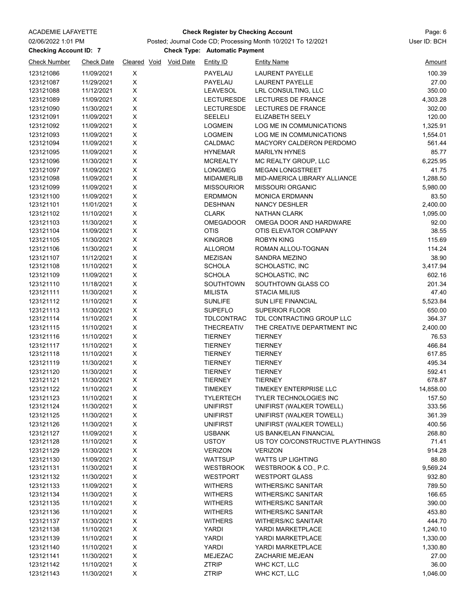### ACADEMIE LAFAYETTE Page: 6 **Check Register by Checking Account**

## **Checking Account ID: 7 Automatic Payment** Check Type: Automatic Payment Posted; Journal Code CD; Processing Month 10/2021 To 12/2021 User ID: BCH

| <b>Check Number</b> | <b>Check Date</b> | Cleared Void Void Date | Entity ID         | <b>Entity Name</b>                | <u>Amount</u> |
|---------------------|-------------------|------------------------|-------------------|-----------------------------------|---------------|
| 123121086           | 11/09/2021        | X                      | PAYELAU           | <b>LAURENT PAYELLE</b>            | 100.39        |
| 123121087           | 11/29/2021        | Χ                      | PAYELAU           | <b>LAURENT PAYELLE</b>            | 27.00         |
| 123121088           | 11/12/2021        | X                      | LEAVESOL          | LRL CONSULTING, LLC               | 350.00        |
| 123121089           | 11/09/2021        | X                      | <b>LECTURESDE</b> | LECTURES DE FRANCE                | 4,303.28      |
| 123121090           | 11/30/2021        | $\mathsf X$            | <b>LECTURESDE</b> | <b>LECTURES DE FRANCE</b>         | 302.00        |
| 123121091           | 11/09/2021        | X                      | <b>SEELELI</b>    | ELIZABETH SEELY                   | 120.00        |
| 123121092           | 11/09/2021        | $\mathsf X$            | <b>LOGMEIN</b>    | LOG ME IN COMMUNICATIONS          | 1,325.91      |
| 123121093           | 11/09/2021        | $\pmb{\mathsf{X}}$     | <b>LOGMEIN</b>    | LOG ME IN COMMUNICATIONS          | 1,554.01      |
| 123121094           | 11/09/2021        | Χ                      | CALDMAC           | MACYORY CALDERON PERDOMO          | 561.44        |
| 123121095           | 11/09/2021        | Χ                      | <b>HYNEMAR</b>    | <b>MARILYN HYNES</b>              | 85.77         |
| 123121096           | 11/30/2021        | X                      | <b>MCREALTY</b>   | MC REALTY GROUP, LLC              | 6,225.95      |
| 123121097           | 11/09/2021        | $\mathsf X$            | LONGMEG           | <b>MEGAN LONGSTREET</b>           | 41.75         |
| 123121098           | 11/09/2021        | $\mathsf X$            | <b>MIDAMERLIB</b> | MID-AMERICA LIBRARY ALLIANCE      | 1,288.50      |
| 123121099           | 11/09/2021        | Χ                      | <b>MISSOURIOR</b> | <b>MISSOURI ORGANIC</b>           | 5,980.00      |
| 123121100           | 11/09/2021        | $\mathsf X$            | <b>ERDMMON</b>    | <b>MONICA ERDMANN</b>             | 83.50         |
| 123121101           | 11/01/2021        | Χ                      | <b>DESHNAN</b>    | <b>NANCY DESHLER</b>              | 2,400.00      |
| 123121102           | 11/10/2021        | X                      | <b>CLARK</b>      | <b>NATHAN CLARK</b>               | 1,095.00      |
| 123121103           | 11/30/2021        | X                      | <b>OMEGADOOR</b>  | OMEGA DOOR AND HARDWARE           | 92.00         |
| 123121104           | 11/09/2021        | X                      | <b>OTIS</b>       | OTIS ELEVATOR COMPANY             | 38.55         |
| 123121105           | 11/30/2021        | $\mathsf X$            | <b>KINGROB</b>    | <b>ROBYN KING</b>                 | 115.69        |
| 123121106           | 11/30/2021        | $\mathsf X$            | <b>ALLOROM</b>    | ROMAN ALLOU-TOGNAN                | 114.24        |
| 123121107           | 11/12/2021        | $\mathsf X$            | <b>MEZISAN</b>    | SANDRA MEZINO                     | 38.90         |
| 123121108           | 11/10/2021        | $\mathsf X$            | <b>SCHOLA</b>     | SCHOLASTIC, INC                   | 3,417.94      |
| 123121109           | 11/09/2021        | $\mathsf X$            | <b>SCHOLA</b>     | SCHOLASTIC, INC                   | 602.16        |
| 123121110           | 11/18/2021        | Χ                      | SOUTHTOWN         | SOUTHTOWN GLASS CO                | 201.34        |
| 123121111           | 11/30/2021        | X                      | <b>MILISTA</b>    | <b>STACIA MILIUS</b>              | 47.40         |
| 123121112           | 11/10/2021        | Χ                      | <b>SUNLIFE</b>    | SUN LIFE FINANCIAL                | 5,523.84      |
| 123121113           | 11/30/2021        | $\mathsf X$            | <b>SUPEFLO</b>    | <b>SUPERIOR FLOOR</b>             | 650.00        |
| 123121114           | 11/10/2021        | $\pmb{\mathsf{X}}$     | <b>TDLCONTRAC</b> | TDL CONTRACTING GROUP LLC         | 364.37        |
| 123121115           | 11/10/2021        | X                      | THECREATIV        | THE CREATIVE DEPARTMENT INC       | 2,400.00      |
| 123121116           | 11/10/2021        | $\mathsf X$            | <b>TIERNEY</b>    | <b>TIERNEY</b>                    | 76.53         |
| 123121117           | 11/10/2021        | $\pmb{\mathsf{X}}$     | <b>TIERNEY</b>    | <b>TIERNEY</b>                    | 466.84        |
| 123121118           | 11/10/2021        | Χ                      | <b>TIERNEY</b>    | <b>TIERNEY</b>                    | 617.85        |
| 123121119           | 11/30/2021        | X                      | <b>TIERNEY</b>    | <b>TIERNEY</b>                    | 495.34        |
| 123121120           | 11/30/2021        | X                      | <b>TIERNEY</b>    | <b>TIERNEY</b>                    | 592.41        |
| 123121121           | 11/30/2021        | X                      | <b>TIERNEY</b>    | <b>TIERNEY</b>                    | 678.87        |
| 123121122           | 11/10/2021        | X                      | <b>TIMEKEY</b>    | TIMEKEY ENTERPRISE LLC            | 14,858.00     |
| 123121123           | 11/10/2021        | X                      | <b>TYLERTECH</b>  | TYLER TECHNOLOGIES INC            | 157.50        |
| 123121124           | 11/30/2021        | $\pmb{\mathsf{X}}$     | <b>UNIFIRST</b>   | UNIFIRST (WALKER TOWELL)          | 333.56        |
| 123121125           | 11/30/2021        | X                      | <b>UNIFIRST</b>   | UNIFIRST (WALKER TOWELL)          | 361.39        |
| 123121126           | 11/30/2021        | X                      | <b>UNIFIRST</b>   | UNIFIRST (WALKER TOWELL)          | 400.56        |
| 123121127           | 11/09/2021        | $\mathsf X$            | <b>USBANK</b>     | US BANK/ELAN FINANCIAL            | 268.80        |
| 123121128           | 11/10/2021        | Χ                      | <b>USTOY</b>      | US TOY CO/CONSTRUCTIVE PLAYTHINGS | 71.41         |
| 123121129           | 11/30/2021        | Χ                      | VERIZON           | <b>VERIZON</b>                    | 914.28        |
| 123121130           | 11/09/2021        | Χ                      | WATTSUP           | <b>WATTS UP LIGHTING</b>          | 88.80         |
| 123121131           | 11/30/2021        | $\mathsf X$            | <b>WESTBROOK</b>  | WESTBROOK & CO., P.C.             | 9,569.24      |
| 123121132           | 11/30/2021        | $\mathsf X$            | <b>WESTPORT</b>   | <b>WESTPORT GLASS</b>             | 932.80        |
| 123121133           | 11/09/2021        | $\mathsf X$            | <b>WITHERS</b>    | <b>WITHERS/KC SANITAR</b>         | 789.50        |
| 123121134           | 11/30/2021        | $\mathsf X$            | WITHERS           | WITHERS/KC SANITAR                | 166.65        |
| 123121135           | 11/10/2021        | $\mathsf X$            | WITHERS           | WITHERS/KC SANITAR                | 390.00        |
| 123121136           | 11/10/2021        | $\mathsf X$            | <b>WITHERS</b>    | <b>WITHERS/KC SANITAR</b>         | 453.80        |
| 123121137           | 11/30/2021        | Χ                      | <b>WITHERS</b>    | <b>WITHERS/KC SANITAR</b>         | 444.70        |
| 123121138           | 11/10/2021        | Χ                      | <b>YARDI</b>      | YARDI MARKETPLACE                 | 1,240.10      |
| 123121139           | 11/10/2021        | Χ                      | <b>YARDI</b>      | YARDI MARKETPLACE                 | 1,330.00      |
| 123121140           | 11/10/2021        | $\mathsf X$            | <b>YARDI</b>      | YARDI MARKETPLACE                 | 1,330.80      |
| 123121141           | 11/30/2021        | X                      | MEJEZAC           | ZACHARIE MEJEAN                   | 27.00         |
| 123121142           | 11/10/2021        | X                      | <b>ZTRIP</b>      | WHC KCT, LLC                      | 36.00         |
| 123121143           | 11/30/2021        | $\pmb{\times}$         | <b>ZTRIP</b>      | WHC KCT, LLC                      | 1,046.00      |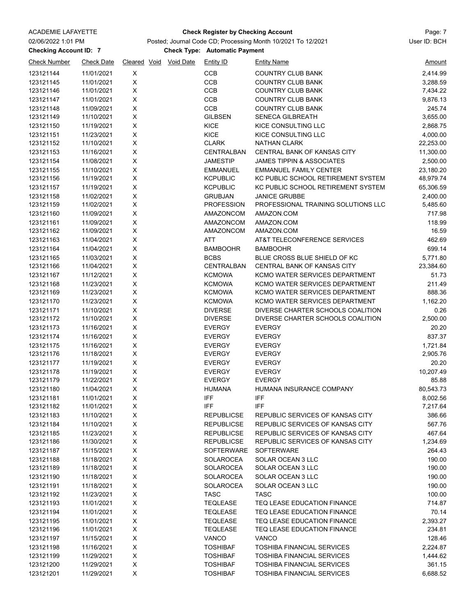### ACADEMIE LAFAYETTE Page: 7 **Check Register by Checking Account**

## **Checking Account ID: 7 Automatic Payment** Check Type: Automatic Payment Posted; Journal Code CD; Processing Month 10/2021 To 12/2021 User ID: BCH

| <b>Check Number</b> | <b>Check Date</b> | Cleared Void       | <b>Void Date</b> | <b>Entity ID</b>  | <b>Entity Name</b>                   | <u>Amount</u> |
|---------------------|-------------------|--------------------|------------------|-------------------|--------------------------------------|---------------|
| 123121144           | 11/01/2021        | X                  |                  | <b>CCB</b>        | COUNTRY CLUB BANK                    | 2,414.99      |
| 123121145           | 11/01/2021        | Χ                  |                  | CCB               | <b>COUNTRY CLUB BANK</b>             | 3,288.59      |
| 123121146           | 11/01/2021        | X                  |                  | CCB               | <b>COUNTRY CLUB BANK</b>             | 7,434.22      |
| 123121147           | 11/01/2021        | X                  |                  | CCB               | <b>COUNTRY CLUB BANK</b>             | 9,876.13      |
| 123121148           | 11/09/2021        | X                  |                  | <b>CCB</b>        | <b>COUNTRY CLUB BANK</b>             | 245.74        |
| 123121149           | 11/10/2021        | $\mathsf X$        |                  | <b>GILBSEN</b>    | <b>SENECA GILBREATH</b>              | 3,655.00      |
| 123121150           | 11/19/2021        | X                  |                  | KICE              | KICE CONSULTING LLC                  | 2,868.75      |
| 123121151           | 11/23/2021        | $\mathsf X$        |                  | KICE              | KICE CONSULTING LLC                  | 4,000.00      |
| 123121152           | 11/10/2021        | Χ                  |                  | <b>CLARK</b>      | NATHAN CLARK                         | 22,253.00     |
| 123121153           | 11/16/2021        | Χ                  |                  | CENTRALBAN        | CENTRAL BANK OF KANSAS CITY          | 11,300.00     |
| 123121154           | 11/08/2021        | $\mathsf X$        |                  | JAMESTIP          | <b>JAMES TIPPIN &amp; ASSOCIATES</b> | 2,500.00      |
| 123121155           | 11/10/2021        | $\pmb{\mathsf{X}}$ |                  | EMMANUEL          | <b>EMMANUEL FAMILY CENTER</b>        | 23,180.20     |
| 123121156           | 11/19/2021        | $\mathsf X$        |                  | <b>KCPUBLIC</b>   | KC PUBLIC SCHOOL RETIREMENT SYSTEM   | 48,979.74     |
| 123121157           | 11/19/2021        | $\mathsf X$        |                  | <b>KCPUBLIC</b>   | KC PUBLIC SCHOOL RETIREMENT SYSTEM   | 65,306.59     |
| 123121158           | 11/02/2021        | $\mathsf X$        |                  | <b>GRUBJAN</b>    | <b>JANICE GRUBBE</b>                 | 2,400.00      |
| 123121159           | 11/02/2021        | $\mathsf X$        |                  | <b>PROFESSION</b> | PROFESSIONAL TRAINING SOLUTIONS LLC  | 5,485.60      |
| 123121160           | 11/09/2021        | X                  |                  | AMAZONCOM         | AMAZON.COM                           | 717.98        |
| 123121161           | 11/09/2021        | X                  |                  | <b>AMAZONCOM</b>  | AMAZON.COM                           | 118.99        |
| 123121162           | 11/09/2021        | Χ                  |                  | AMAZONCOM         | AMAZON.COM                           | 16.59         |
| 123121163           | 11/04/2021        | X                  |                  | ATT               | AT&T TELECONFERENCE SERVICES         | 462.69        |
| 123121164           | 11/04/2021        | $\mathsf X$        |                  | <b>BAMBOOHR</b>   | <b>BAMBOOHR</b>                      | 699.14        |
| 123121165           | 11/03/2021        | $\mathsf X$        |                  | <b>BCBS</b>       | BLUE CROSS BLUE SHIELD OF KC         | 5,771.80      |
| 123121166           | 11/04/2021        | $\mathsf X$        |                  | <b>CENTRALBAN</b> | CENTRAL BANK OF KANSAS CITY          | 23,384.60     |
| 123121167           | 11/12/2021        | X                  |                  | <b>KCMOWA</b>     | KCMO WATER SERVICES DEPARTMENT       | 51.73         |
| 123121168           | 11/23/2021        | $\mathsf X$        |                  | <b>KCMOWA</b>     | KCMO WATER SERVICES DEPARTMENT       | 211.49        |
| 123121169           | 11/23/2021        | Χ                  |                  | <b>KCMOWA</b>     | KCMO WATER SERVICES DEPARTMENT       | 888.36        |
| 123121170           | 11/23/2021        | X                  |                  | <b>KCMOWA</b>     | KCMO WATER SERVICES DEPARTMENT       | 1,162.20      |
| 123121171           | 11/10/2021        | Χ                  |                  | <b>DIVERSE</b>    | DIVERSE CHARTER SCHOOLS COALITION    | 0.26          |
| 123121172           | 11/10/2021        | $\mathsf X$        |                  | <b>DIVERSE</b>    | DIVERSE CHARTER SCHOOLS COALITION    | 2,500.00      |
| 123121173           | 11/16/2021        | $\pmb{\mathsf{X}}$ |                  | <b>EVERGY</b>     | <b>EVERGY</b>                        | 20.20         |
| 123121174           | 11/16/2021        | $\mathsf X$        |                  | <b>EVERGY</b>     | <b>EVERGY</b>                        | 837.37        |
| 123121175           | 11/16/2021        | $\mathsf X$        |                  | <b>EVERGY</b>     | <b>EVERGY</b>                        | 1,721.84      |
| 123121176           | 11/18/2021        | X                  |                  | <b>EVERGY</b>     | <b>EVERGY</b>                        | 2,905.76      |
| 123121177           | 11/19/2021        | X                  |                  | <b>EVERGY</b>     | <b>EVERGY</b>                        | 20.20         |
| 123121178           | 11/19/2021        | Χ                  |                  | <b>EVERGY</b>     | <b>EVERGY</b>                        | 10,207.49     |
| 123121179           | 11/22/2021        | X                  |                  | <b>EVERGY</b>     | <b>EVERGY</b>                        | 85.88         |
| 123121180           | 11/04/2021        | X                  |                  | HUMANA            | HUMANA INSURANCE COMPANY             | 80,543.73     |
| 123121181           | 11/01/2021        | X                  |                  | <b>IFF</b>        | IFF                                  | 8,002.56      |
| 123121182           | 11/01/2021        | $\mathsf X$        |                  | <b>IFF</b>        | <b>IFF</b>                           | 7,217.64      |
| 123121183           | 11/10/2021        | X                  |                  | <b>REPUBLICSE</b> | REPUBLIC SERVICES OF KANSAS CITY     | 386.66        |
| 123121184           | 11/10/2021        | Χ                  |                  | <b>REPUBLICSE</b> | REPUBLIC SERVICES OF KANSAS CITY     | 567.76        |
| 123121185           | 11/23/2021        | $\pmb{\mathsf{X}}$ |                  | <b>REPUBLICSE</b> | REPUBLIC SERVICES OF KANSAS CITY     | 467.64        |
| 123121186           | 11/30/2021        | Χ                  |                  | <b>REPUBLICSE</b> | REPUBLIC SERVICES OF KANSAS CITY     | 1,234.69      |
| 123121187           | 11/15/2021        | X                  |                  | SOFTERWARE        | <b>SOFTERWARE</b>                    | 264.43        |
| 123121188           | 11/18/2021        | Χ                  |                  | <b>SOLAROCEA</b>  | SOLAR OCEAN 3 LLC                    | 190.00        |
| 123121189           | 11/18/2021        | X                  |                  | <b>SOLAROCEA</b>  | SOLAR OCEAN 3 LLC                    | 190.00        |
| 123121190           | 11/18/2021        | X                  |                  | <b>SOLAROCEA</b>  | SOLAR OCEAN 3 LLC                    | 190.00        |
| 123121191           | 11/18/2021        | $\pmb{\mathsf{X}}$ |                  | <b>SOLAROCEA</b>  | SOLAR OCEAN 3 LLC                    | 190.00        |
| 123121192           | 11/23/2021        | $\pmb{\mathsf{X}}$ |                  | <b>TASC</b>       | <b>TASC</b>                          | 100.00        |
| 123121193           | 11/01/2021        | X                  |                  | <b>TEQLEASE</b>   | TEQ LEASE EDUCATION FINANCE          | 714.87        |
| 123121194           | 11/01/2021        | $\mathsf X$        |                  | TEQLEASE          | TEQ LEASE EDUCATION FINANCE          | 70.14         |
| 123121195           | 11/01/2021        | X                  |                  | <b>TEQLEASE</b>   | TEQ LEASE EDUCATION FINANCE          | 2,393.27      |
| 123121196           | 11/01/2021        | Χ                  |                  | TEQLEASE          | TEQ LEASE EDUCATION FINANCE          | 234.81        |
| 123121197           | 11/15/2021        | Χ                  |                  | <b>VANCO</b>      | <b>VANCO</b>                         | 128.46        |
| 123121198           | 11/16/2021        | X                  |                  | <b>TOSHIBAF</b>   | <b>TOSHIBA FINANCIAL SERVICES</b>    | 2,224.87      |
| 123121199           | 11/29/2021        | $\mathsf X$        |                  | <b>TOSHIBAF</b>   | TOSHIBA FINANCIAL SERVICES           | 1,444.62      |
| 123121200           | 11/29/2021        | X                  |                  | TOSHIBAF          | TOSHIBA FINANCIAL SERVICES           | 361.15        |
| 123121201           | 11/29/2021        | X                  |                  | <b>TOSHIBAF</b>   | <b>TOSHIBA FINANCIAL SERVICES</b>    | 6,688.52      |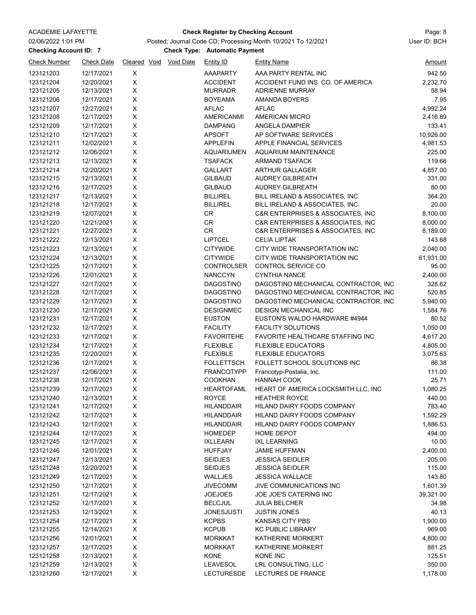### ACADEMIE LAFAYETTE Page: 8 **Check Register by Checking Account**

# Posted; Journal Code CD; Processing Month 10/2021 To 12/2021 User ID: BCH

**Checking Account ID: 7 Automatic Payment** Check Type: Automatic Payment

| <b>Check Number</b>    | <b>Check Date</b>        |             | Cleared Void Void Date | Entity ID                           | <b>Entity Name</b>                                          | <u>Amount</u>   |
|------------------------|--------------------------|-------------|------------------------|-------------------------------------|-------------------------------------------------------------|-----------------|
| 123121203              | 12/17/2021               | X           |                        | AAAPARTY                            | AAA PARTY RENTAL INC                                        | 942.50          |
| 123121204              | 12/20/2021               | Χ           |                        | <b>ACCIDENT</b>                     | ACCIDENT FUND INS. CO. OF AMERICA                           | 2,232.70        |
| 123121205              | 12/13/2021               | Χ           |                        | <b>MURRADR</b>                      | <b>ADRIENNE MURRAY</b>                                      | 58.94           |
| 123121206              | 12/17/2021               | X           |                        | <b>BOYEAMA</b>                      | <b>AMANDA BOYERS</b>                                        | 7.95            |
| 123121207              | 12/27/2021               | Χ           |                        | <b>AFLAC</b>                        | <b>AFLAC</b>                                                | 4,992.24        |
| 123121208              | 12/17/2021               | X           |                        | <b>AMERICANMI</b>                   | <b>AMERICAN MICRO</b>                                       | 2,416.89        |
| 123121209              | 12/17/2021               | X           |                        | <b>DAMPANG</b>                      | <b>ANGELA DAMPIER</b>                                       | 133.41          |
| 123121210              | 12/17/2021               | Χ           |                        | <b>APSOFT</b>                       | AP SOFTWARE SERVICES                                        | 10,926.00       |
| 123121211              | 12/02/2021               | Χ           |                        | <b>APPLEFIN</b>                     | APPLE FINANCIAL SERVICES                                    | 4,981.53        |
| 123121212              | 12/06/2021               | Χ           |                        | <b>AQUARIUMEN</b>                   | <b>AQUARIUM MAINTENANCE</b>                                 | 225.00          |
| 123121213              | 12/13/2021               | X           |                        | <b>TSAFACK</b>                      | <b>ARMAND TSAFACK</b>                                       | 119.66          |
| 123121214              | 12/20/2021               | X           |                        | <b>GALLART</b>                      | <b>ARTHUR GALLAGER</b>                                      | 4,857.00        |
| 123121215              | 12/13/2021               | X           |                        | <b>GILBAUD</b>                      | <b>AUDREY GILBREATH</b>                                     | 331.00          |
| 123121216              | 12/17/2021               | Χ           |                        | <b>GILBAUD</b>                      | <b>AUDREY GILBREATH</b>                                     | 80.00           |
| 123121217              | 12/13/2021               | Χ           |                        | <b>BILLIREL</b>                     | BILL IRELAND & ASSOCIATES, INC.                             | 364.20          |
| 123121218              | 12/17/2021               | $\mathsf X$ |                        | <b>BILLIREL</b>                     | BILL IRELAND & ASSOCIATES, INC.                             | 20.00           |
| 123121219              | 12/07/2021               | X           |                        | CR                                  | C&R ENTERPRISES & ASSOCIATES, INC                           | 8,100.00        |
| 123121220              | 12/21/2021               | Χ           |                        | CR                                  | C&R ENTERPRISES & ASSOCIATES, INC                           | 8,000.00        |
| 123121221              | 12/27/2021               | Χ           |                        | CR                                  | C&R ENTERPRISES & ASSOCIATES, INC                           | 8,189.00        |
| 123121222              | 12/13/2021               | Χ           |                        | <b>LIPTCEL</b>                      | <b>CELIA LIPTAK</b>                                         | 143.68          |
| 123121223              | 12/13/2021               | X           |                        | <b>CITYWIDE</b>                     | CITY WIDE TRANSPORTATION INC                                | 2,040.00        |
| 123121224              | 12/13/2021               | Χ           |                        | <b>CITYWIDE</b>                     | CITY WIDE TRANSPORTATION INC                                | 61,931.00       |
| 123121225              | 12/17/2021               | Χ           |                        | <b>CONTROLSER</b>                   | CONTROL SERVICE CO                                          | 95.00           |
| 123121226              | 12/01/2021               | X           |                        | <b>NANCCYN</b>                      | <b>CYNTHIA NANCE</b>                                        | 2,400.00        |
| 123121227              | 12/17/2021               | Χ           |                        | <b>DAGOSTINO</b>                    | DAGOSTINO MECHANICAL CONTRACTOR, INC                        | 328.62          |
| 123121228              | 12/17/2021               | Χ           |                        | <b>DAGOSTINO</b>                    | DAGOSTINO MECHANICAL CONTRACTOR, INC                        | 520.85          |
| 123121229              | 12/17/2021               | Χ           |                        | <b>DAGOSTINO</b>                    | DAGOSTINO MECHANICAL CONTRACTOR, INC                        | 5,940.00        |
| 123121230              | 12/17/2021               | Χ           |                        | <b>DESIGNMEC</b>                    | <b>DESIGN MECHANICAL INC</b>                                | 1,584.76        |
| 123121231              | 12/17/2021               | X           |                        | <b>EUSTON</b>                       | EUSTON'S WALDO HARDWARE #4944                               | 80.52           |
| 123121232              | 12/17/2021               | X           |                        | <b>FACILITY</b>                     | <b>FACILITY SOLUTIONS</b>                                   | 1,050.00        |
| 123121233              | 12/17/2021               | Χ           |                        | <b>FAVORITEHE</b>                   | FAVORITE HEALTHCARE STAFFING INC                            | 4,617.20        |
| 123121234              | 12/17/2021               | Χ           |                        | <b>FLEXIBLE</b>                     | <b>FLEXIBLE EDUCATORS</b>                                   | 4,805.00        |
| 123121235              | 12/20/2021               | Χ           |                        | <b>FLEXIBLE</b>                     | <b>FLEXIBLE EDUCATORS</b><br>FOLLETT SCHOOL SOLUTIONS INC   | 3,075.63        |
| 123121236              | 12/17/2021               | X           |                        | <b>FOLLETTSCH</b>                   |                                                             | 86.38           |
| 123121237<br>123121238 | 12/06/2021<br>12/17/2021 | Χ<br>X      |                        | <b>FRANCOTYPP</b><br><b>COOKHAN</b> | Francotyp-Postalia, Inc.<br><b>HANNAH COOK</b>              | 111.00<br>25.71 |
| 123121239              | 12/17/2021               | X           |                        | <b>HEARTOFAML</b>                   |                                                             | 1,080.25        |
| 123121240              | 12/13/2021               | X           |                        | <b>ROYCE</b>                        | HEART OF AMERICA LOCKSMITH LLC, INC<br><b>HEATHER ROYCE</b> | 440.00          |
| 123121241              | 12/17/2021               | X           |                        | <b>HILANDDAIR</b>                   | HILAND DAIRY FOODS COMPANY                                  | 783.40          |
| 123121242              | 12/17/2021               | X           |                        | <b>HILANDDAIR</b>                   | HILAND DAIRY FOODS COMPANY                                  | 1,592.29        |
| 123121243              | 12/17/2021               | X           |                        | <b>HILANDDAIR</b>                   | HILAND DAIRY FOODS COMPANY                                  | 1,886.53        |
| 123121244              | 12/17/2021               | X           |                        | <b>HOMEDEP</b>                      | <b>HOME DEPOT</b>                                           | 494.00          |
| 123121245              | 12/17/2021               | X           |                        | <b>IXLLEARN</b>                     | <b>IXL LEARNING</b>                                         | 10.00           |
| 123121246              | 12/01/2021               | X           |                        | <b>HUFFJAY</b>                      | JAMIE HUFFMAN                                               | 2,400.00        |
| 123121247              | 12/13/2021               | Χ           |                        | <b>SEIDJES</b>                      | <b>JESSICA SEIDLER</b>                                      | 205.00          |
| 123121248              | 12/20/2021               | X           |                        | <b>SEIDJES</b>                      | <b>JESSICA SEIDLER</b>                                      | 115.00          |
| 123121249              | 12/17/2021               | Χ           |                        | WALLJES                             | <b>JESSICA WALLACE</b>                                      | 143.80          |
| 123121250              | 12/17/2021               | X           |                        | <b>JIVECOMM</b>                     | JIVE COMMUNICATIONS INC                                     | 1,601.39        |
| 123121251              | 12/17/2021               | X           |                        | <b>JOEJOES</b>                      | JOE JOE'S CATERING INC                                      | 39,321.00       |
| 123121252              | 12/17/2021               | X           |                        | <b>BELCJUL</b>                      | <b>JULIA BELCHER</b>                                        | 34.98           |
| 123121253              | 12/13/2021               | X           |                        | JONESJUSTI                          | <b>JUSTIN JONES</b>                                         | 40.13           |
| 123121254              | 12/17/2021               | X           |                        | <b>KCPBS</b>                        | <b>KANSAS CITY PBS</b>                                      | 1,900.00        |
| 123121255              | 12/14/2021               | X           |                        | <b>KCPUB</b>                        | <b>KC PUBLIC LIBRARY</b>                                    | 969.00          |
| 123121256              | 12/01/2021               | Χ           |                        | <b>MORKKAT</b>                      | KATHERINE MORKERT                                           | 4,800.00        |
| 123121257              | 12/17/2021               | X           |                        | <b>MORKKAT</b>                      | KATHERINE MORKERT                                           | 881.25          |
| 123121258              | 12/13/2021               | X           |                        | <b>KONE</b>                         | KONE INC                                                    | 125.51          |
| 123121259              | 12/13/2021               | X           |                        | LEAVESOL                            | LRL CONSULTING, LLC                                         | 350.00          |
| 123121260              | 12/17/2021               | X           |                        | <b>LECTURESDE</b>                   | LECTURES DE FRANCE                                          | 1,178.00        |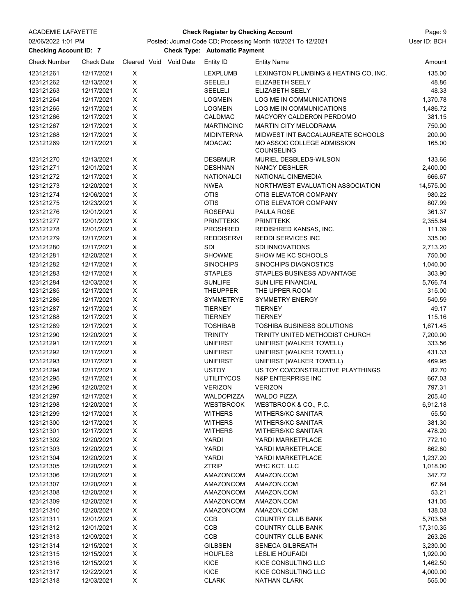### ACADEMIE LAFAYETTE Page: 9 **Check Register by Checking Account**

## Posted; Journal Code CD; Processing Month 10/2021 To 12/2021 User ID: BCH

**Checking Account ID: 7 Automatic Payment** Check Type: Automatic Payment

| <b>Check Number</b>    | <b>Check Date</b>        | Cleared Void           | <b>Void Date</b> | <b>Entity ID</b>                 | <b>Entity Name</b>                              | Amount          |
|------------------------|--------------------------|------------------------|------------------|----------------------------------|-------------------------------------------------|-----------------|
| 123121261              | 12/17/2021               | X                      |                  | <b>LEXPLUMB</b>                  | LEXINGTON PLUMBING & HEATING CO, INC.           | 135.00          |
| 123121262              | 12/13/2021               | $\mathsf X$            |                  | <b>SEELELI</b>                   | ELIZABETH SEELY                                 | 48.86           |
| 123121263              | 12/17/2021               | Χ                      |                  | <b>SEELELI</b>                   | ELIZABETH SEELY                                 | 48.33           |
| 123121264              | 12/17/2021               | $\mathsf X$            |                  | <b>LOGMEIN</b>                   | LOG ME IN COMMUNICATIONS                        | 1,370.78        |
| 123121265              | 12/17/2021               | X                      |                  | <b>LOGMEIN</b>                   | LOG ME IN COMMUNICATIONS                        | 1,486.72        |
| 123121266              | 12/17/2021               | X                      |                  | <b>CALDMAC</b>                   | MACYORY CALDERON PERDOMO                        | 381.15          |
| 123121267              | 12/17/2021               | X                      |                  | <b>MARTINCINC</b>                | MARTIN CITY MELODRAMA                           | 750.00          |
| 123121268              | 12/17/2021               | $\mathsf X$            |                  | <b>MIDINTERNA</b>                | MIDWEST INT BACCALAUREATE SCHOOLS               | 200.00          |
| 123121269              | 12/17/2021               | X                      |                  | <b>MOACAC</b>                    | MO ASSOC COLLEGE ADMISSION<br><b>COUNSELING</b> | 165.00          |
| 123121270              | 12/13/2021               | X                      |                  | <b>DESBMUR</b>                   | MURIEL DESBLEDS-WILSON                          | 133.66          |
| 123121271              | 12/01/2021               | X                      |                  | <b>DESHNAN</b>                   | <b>NANCY DESHLER</b>                            | 2,400.00        |
| 123121272              | 12/17/2021               | $\mathsf X$            |                  | <b>NATIONALCI</b>                | NATIONAL CINEMEDIA                              | 666.67          |
| 123121273              | 12/20/2021               | $\mathsf X$            |                  | <b>NWEA</b>                      | NORTHWEST EVALUATION ASSOCIATION                | 14,575.00       |
| 123121274              | 12/06/2021               | Χ                      |                  | <b>OTIS</b>                      | OTIS ELEVATOR COMPANY                           | 980.22          |
| 123121275              | 12/23/2021               | $\mathsf X$            |                  | <b>OTIS</b>                      | OTIS ELEVATOR COMPANY                           | 807.99          |
| 123121276              | 12/01/2021               | $\mathsf X$            |                  | ROSEPAU                          | PAULA ROSE                                      | 361.37          |
| 123121277              | 12/01/2021               | $\mathsf X$            |                  | PRINTTEKK                        | <b>PRINTTEKK</b>                                | 2,355.64        |
| 123121278              | 12/01/2021               | X                      |                  | <b>PROSHRED</b>                  | REDISHRED KANSAS, INC.                          | 111.39          |
| 123121279              | 12/17/2021               | X                      |                  | <b>REDDISERVI</b>                | <b>REDDI SERVICES INC</b>                       | 335.00          |
| 123121280              | 12/17/2021               | Χ                      |                  | <b>SDI</b>                       | <b>SDI INNOVATIONS</b>                          | 2,713.20        |
| 123121281              | 12/20/2021               | $\mathsf X$            |                  | <b>SHOWME</b>                    | SHOW ME KC SCHOOLS                              | 750.00          |
| 123121282              | 12/17/2021               | $\mathsf X$            |                  | <b>SINOCHIPS</b>                 | SINOCHIPS DIAGNOSTICS                           | 1,040.00        |
| 123121283              | 12/17/2021               | $\mathsf X$            |                  | <b>STAPLES</b>                   | STAPLES BUSINESS ADVANTAGE                      | 303.90          |
| 123121284              | 12/03/2021               | $\sf X$<br>$\mathsf X$ |                  | <b>SUNLIFE</b>                   | SUN LIFE FINANCIAL                              | 5,766.74        |
| 123121285              | 12/17/2021               | $\mathsf X$            |                  | <b>THEUPPER</b>                  | THE UPPER ROOM                                  | 315.00          |
| 123121286<br>123121287 | 12/17/2021               |                        |                  | <b>SYMMETRYE</b>                 | <b>SYMMETRY ENERGY</b><br><b>TIERNEY</b>        | 540.59<br>49.17 |
| 123121288              | 12/17/2021<br>12/17/2021 | X<br>X                 |                  | <b>TIERNEY</b><br><b>TIERNEY</b> | <b>TIERNEY</b>                                  | 115.16          |
| 123121289              | 12/17/2021               | Χ                      |                  | <b>TOSHIBAB</b>                  | <b>TOSHIBA BUSINESS SOLUTIONS</b>               | 1,671.45        |
| 123121290              | 12/20/2021               | Χ                      |                  | <b>TRINITY</b>                   | TRINITY UNITED METHODIST CHURCH                 | 7,200.00        |
| 123121291              | 12/17/2021               | X                      |                  | <b>UNIFIRST</b>                  | UNIFIRST (WALKER TOWELL)                        | 333.56          |
| 123121292              | 12/17/2021               | $\mathsf X$            |                  | <b>UNIFIRST</b>                  | UNIFIRST (WALKER TOWELL)                        | 431.33          |
| 123121293              | 12/17/2021               | $\mathsf X$            |                  | <b>UNIFIRST</b>                  | UNIFIRST (WALKER TOWELL)                        | 469.95          |
| 123121294              | 12/17/2021               | X                      |                  | <b>USTOY</b>                     | US TOY CO/CONSTRUCTIVE PLAYTHINGS               | 82.70           |
| 123121295              | 12/17/2021               | X                      |                  | <b>UTILITYCOS</b>                | N&P ENTERPRISE INC                              | 667.03          |
| 123121296              | 12/20/2021               | X                      |                  | <b>VERIZON</b>                   | <b>VERIZON</b>                                  | 797.31          |
| 123121297              | 12/17/2021               | Χ                      |                  | <b>WALDOPIZZA</b>                | <b>WALDO PIZZA</b>                              | 205.40          |
| 123121298              | 12/20/2021               | X                      |                  | <b>WESTBROOK</b>                 | WESTBROOK & CO., P.C.                           | 6,912.18        |
| 123121299              | 12/17/2021               | X                      |                  | <b>WITHERS</b>                   | <b>WITHERS/KC SANITAR</b>                       | 55.50           |
| 123121300              | 12/17/2021               | X                      |                  | <b>WITHERS</b>                   | <b>WITHERS/KC SANITAR</b>                       | 381.30          |
| 123121301              | 12/17/2021               | X                      |                  | <b>WITHERS</b>                   | WITHERS/KC SANITAR                              | 478.20          |
| 123121302              | 12/20/2021               | $\mathsf X$            |                  | <b>YARDI</b>                     | YARDI MARKETPLACE                               | 772.10          |
| 123121303              | 12/20/2021               | $\mathsf X$            |                  | YARDI                            | YARDI MARKETPLACE                               | 862.80          |
| 123121304              | 12/20/2021               | X                      |                  | YARDI                            | YARDI MARKETPLACE                               | 1,237.20        |
| 123121305              | 12/20/2021               | X                      |                  | <b>ZTRIP</b>                     | WHC KCT, LLC                                    | 1,018.00        |
| 123121306              | 12/20/2021               | X                      |                  | AMAZONCOM                        | AMAZON.COM                                      | 347.72          |
| 123121307              | 12/20/2021               | X                      |                  | AMAZONCOM                        | AMAZON.COM                                      | 67.64           |
| 123121308              | 12/20/2021               | $\mathsf X$            |                  | AMAZONCOM                        | AMAZON.COM                                      | 53.21           |
| 123121309              | 12/20/2021               | X                      |                  | AMAZONCOM                        | AMAZON.COM                                      | 131.05          |
| 123121310              | 12/20/2021               | Χ                      |                  | AMAZONCOM                        | AMAZON.COM                                      | 138.03          |
| 123121311              | 12/01/2021               | X                      |                  | <b>CCB</b>                       | <b>COUNTRY CLUB BANK</b>                        | 5,703.58        |
| 123121312              | 12/01/2021               | X                      |                  | CCB                              | <b>COUNTRY CLUB BANK</b>                        | 17,310.35       |
| 123121313              | 12/09/2021               | X                      |                  | CCB                              | <b>COUNTRY CLUB BANK</b>                        | 263.26          |
| 123121314              | 12/15/2021               | X                      |                  | <b>GILBSEN</b>                   | <b>SENECA GILBREATH</b>                         | 3,230.00        |
| 123121315              | 12/15/2021               | X                      |                  | <b>HOUFLES</b>                   | <b>LESLIE HOUFAIDI</b>                          | 1,920.00        |
| 123121316              | 12/15/2021               | X                      |                  | KICE                             | KICE CONSULTING LLC                             | 1,462.50        |
| 123121317              | 12/22/2021               | X                      |                  | KICE                             | KICE CONSULTING LLC                             | 4,000.00        |
| 123121318              | 12/03/2021               | $\mathsf X$            |                  | <b>CLARK</b>                     | <b>NATHAN CLARK</b>                             | 555.00          |
|                        |                          |                        |                  |                                  |                                                 |                 |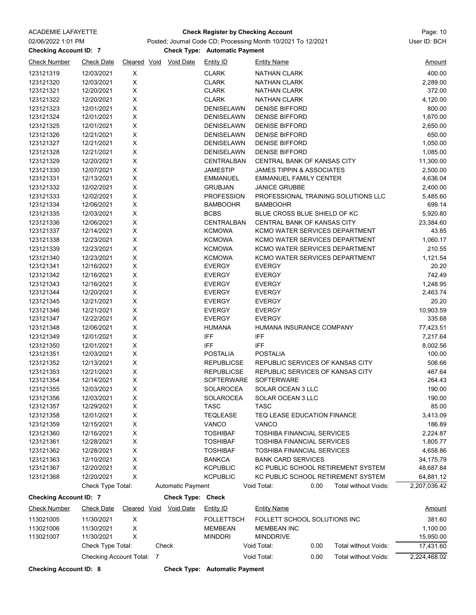| <b>ACADEMIE LAFAYETTE</b>     |                           |   |                        |                                      | <b>Check Register by Checking Account</b>                    |      |                                     | Page: 10      |
|-------------------------------|---------------------------|---|------------------------|--------------------------------------|--------------------------------------------------------------|------|-------------------------------------|---------------|
| 02/06/2022 1:01 PM            |                           |   |                        |                                      | Posted; Journal Code CD; Processing Month 10/2021 To 12/2021 |      |                                     | User ID: BCH  |
| <b>Checking Account ID: 7</b> |                           |   |                        | <b>Check Type: Automatic Payment</b> |                                                              |      |                                     |               |
| <b>Check Number</b>           | <b>Check Date</b>         |   | Cleared Void Void Date | <b>Entity ID</b>                     | <b>Entity Name</b>                                           |      |                                     | <u>Amount</u> |
| 123121319                     | 12/03/2021                | X |                        | <b>CLARK</b>                         | <b>NATHAN CLARK</b>                                          |      |                                     | 400.00        |
| 123121320                     | 12/03/2021                | Χ |                        | <b>CLARK</b>                         | <b>NATHAN CLARK</b>                                          |      |                                     | 2,289.00      |
| 123121321                     | 12/20/2021                | Χ |                        | <b>CLARK</b>                         | <b>NATHAN CLARK</b>                                          |      |                                     | 372.00        |
| 123121322                     | 12/20/2021                | X |                        | <b>CLARK</b>                         | <b>NATHAN CLARK</b>                                          |      |                                     | 4,120.00      |
| 123121323                     | 12/01/2021                | X |                        | <b>DENISELAWN</b>                    | <b>DENISE BIFFORD</b>                                        |      |                                     | 800.00        |
| 123121324                     | 12/01/2021                | X |                        | DENISELAWN                           | <b>DENISE BIFFORD</b>                                        |      |                                     | 1,670.00      |
| 123121325                     | 12/01/2021                | Χ |                        | <b>DENISELAWN</b>                    | <b>DENISE BIFFORD</b>                                        |      |                                     | 2,650.00      |
| 123121326                     | 12/21/2021                | X |                        | <b>DENISELAWN</b>                    | <b>DENISE BIFFORD</b>                                        |      |                                     | 650.00        |
| 123121327                     | 12/21/2021                | Χ |                        | DENISELAWN                           | <b>DENISE BIFFORD</b>                                        |      |                                     | 1,050.00      |
| 123121328                     | 12/21/2021                | X |                        | DENISELAWN                           | <b>DENISE BIFFORD</b>                                        |      |                                     | 1,085.00      |
| 123121329                     | 12/20/2021                | X |                        | <b>CENTRALBAN</b>                    | CENTRAL BANK OF KANSAS CITY                                  |      |                                     | 11,300.00     |
| 123121330                     | 12/07/2021                | Χ |                        | <b>JAMESTIP</b>                      | JAMES TIPPIN & ASSOCIATES                                    |      |                                     | 2,500.00      |
| 123121331                     | 12/13/2021                | X |                        | <b>EMMANUEL</b>                      | <b>EMMANUEL FAMILY CENTER</b>                                |      |                                     | 4,636.04      |
| 123121332                     | 12/02/2021                | X |                        | <b>GRUBJAN</b>                       | <b>JANICE GRUBBE</b>                                         |      |                                     | 2,400.00      |
| 123121333                     | 12/02/2021                | Χ |                        | <b>PROFESSION</b>                    |                                                              |      | PROFESSIONAL TRAINING SOLUTIONS LLC | 5,485.60      |
| 123121334                     | 12/06/2021                | X |                        | <b>BAMBOOHR</b>                      | <b>BAMBOOHR</b>                                              |      |                                     | 699.14        |
| 123121335                     | 12/03/2021                | X |                        | <b>BCBS</b>                          | BLUE CROSS BLUE SHIELD OF KC                                 |      |                                     | 5,920.80      |
| 123121336                     | 12/06/2021                | X |                        | <b>CENTRALBAN</b>                    | CENTRAL BANK OF KANSAS CITY                                  |      |                                     | 23,384.60     |
| 123121337                     | 12/14/2021                | X |                        | <b>KCMOWA</b>                        |                                                              |      | KCMO WATER SERVICES DEPARTMENT      | 43.85         |
| 123121338                     | 12/23/2021                | Χ |                        | <b>KCMOWA</b>                        |                                                              |      | KCMO WATER SERVICES DEPARTMENT      | 1,060.17      |
| 123121339                     | 12/23/2021                | X |                        | <b>KCMOWA</b>                        |                                                              |      | KCMO WATER SERVICES DEPARTMENT      | 210.55        |
| 123121340                     | 12/23/2021                | Χ |                        | <b>KCMOWA</b>                        |                                                              |      | KCMO WATER SERVICES DEPARTMENT      | 1,121.54      |
| 123121341                     | 12/16/2021                | Χ |                        | <b>EVERGY</b>                        | <b>EVERGY</b>                                                |      |                                     | 20.20         |
| 123121342                     | 12/16/2021                | Χ |                        | <b>EVERGY</b>                        | <b>EVERGY</b>                                                |      |                                     | 742.49        |
| 123121343                     | 12/16/2021                | X |                        | <b>EVERGY</b>                        | <b>EVERGY</b>                                                |      |                                     | 1,248.95      |
| 123121344                     | 12/20/2021                | X |                        | <b>EVERGY</b>                        | <b>EVERGY</b>                                                |      |                                     | 2,463.74      |
| 123121345                     | 12/21/2021                | X |                        | <b>EVERGY</b>                        | <b>EVERGY</b>                                                |      |                                     | 20.20         |
| 123121346                     | 12/21/2021                | Χ |                        | <b>EVERGY</b>                        | <b>EVERGY</b>                                                |      |                                     | 10,903.59     |
| 123121347                     | 12/22/2021                | Χ |                        | <b>EVERGY</b>                        | <b>EVERGY</b>                                                |      |                                     | 335.68        |
| 123121348                     | 12/06/2021                | Χ |                        | <b>HUMANA</b>                        | HUMANA INSURANCE COMPANY                                     |      |                                     | 77,423.51     |
| 123121349                     | 12/01/2021                | X |                        | <b>IFF</b>                           | <b>IFF</b>                                                   |      |                                     | 7,217.64      |
| 123121350                     | 12/01/2021                | X |                        | <b>IFF</b>                           | <b>IFF</b>                                                   |      |                                     | 8,002.56      |
| 123121351                     | 12/03/2021                | X |                        | <b>POSTALIA</b>                      | <b>POSTALIA</b>                                              |      |                                     | 100.00        |
| 123121352                     | 12/13/2021                | X |                        | <b>REPUBLICSE</b>                    |                                                              |      | REPUBLIC SERVICES OF KANSAS CITY    | 506.66        |
| 123121353                     | 12/21/2021                | X |                        | <b>REPUBLICSE</b>                    |                                                              |      | REPUBLIC SERVICES OF KANSAS CITY    | 467.64        |
| 123121354                     | 12/14/2021                | X |                        | SOFTERWARE                           | <b>SOFTERWARE</b>                                            |      |                                     | 264.43        |
| 123121355                     | 12/03/2021                | Χ |                        | <b>SOLAROCEA</b>                     | SOLAR OCEAN 3 LLC                                            |      |                                     | 190.00        |
| 123121356                     | 12/03/2021                | X |                        | SOLAROCEA                            | SOLAR OCEAN 3 LLC                                            |      |                                     | 190.00        |
| 123121357                     | 12/29/2021                | X |                        | TASC                                 | TASC                                                         |      |                                     | 85.00         |
| 123121358                     | 12/01/2021                | X |                        | <b>TEQLEASE</b>                      | TEQ LEASE EDUCATION FINANCE                                  |      |                                     | 3,413.09      |
| 123121359                     | 12/15/2021                | X |                        | <b>VANCO</b>                         | <b>VANCO</b>                                                 |      |                                     | 186.89        |
| 123121360                     | 12/16/2021                | Χ |                        | <b>TOSHIBAF</b>                      | TOSHIBA FINANCIAL SERVICES                                   |      |                                     | 2,224.87      |
| 123121361                     | 12/28/2021                | X |                        | <b>TOSHIBAF</b>                      | TOSHIBA FINANCIAL SERVICES                                   |      |                                     | 1,805.77      |
| 123121362                     | 12/28/2021                | X |                        | <b>TOSHIBAF</b>                      | TOSHIBA FINANCIAL SERVICES                                   |      |                                     | 4,658.86      |
| 123121363                     | 12/10/2021                | X |                        | <b>BANKCA</b>                        | <b>BANK CARD SERVICES</b>                                    |      |                                     | 34,175.79     |
| 123121367                     | 12/20/2021                | X |                        | <b>KCPUBLIC</b>                      |                                                              |      | KC PUBLIC SCHOOL RETIREMENT SYSTEM  | 48,687.84     |
| 123121368                     | 12/20/2021                | X |                        | <b>KCPUBLIC</b>                      |                                                              |      | KC PUBLIC SCHOOL RETIREMENT SYSTEM  | 64,881.12     |
|                               | Check Type Total:         |   | Automatic Payment      |                                      | Void Total:                                                  | 0.00 | Total without Voids:                | 2,207,036.42  |
| <b>Checking Account ID: 7</b> |                           |   | Check Type: Check      |                                      |                                                              |      |                                     |               |
| <b>Check Number</b>           | <b>Check Date</b>         |   | Cleared Void Void Date | <b>Entity ID</b>                     | <b>Entity Name</b>                                           |      |                                     | <u>Amount</u> |
| 113021005                     | 11/30/2021                | X |                        | <b>FOLLETTSCH</b>                    | FOLLETT SCHOOL SOLUTIONS INC                                 |      |                                     | 381.60        |
| 113021006                     | 11/30/2021                | X |                        | <b>MEMBEAN</b>                       | <b>MEMBEAN INC</b>                                           |      |                                     | 1,100.00      |
| 113021007                     | 11/30/2021                | X |                        | <b>MINDDRI</b>                       | <b>MINDDRIVE</b>                                             |      |                                     | 15,950.00     |
|                               | Check Type Total:         |   | Check                  |                                      | Void Total:                                                  | 0.00 | Total without Voids:                | 17,431.60     |
|                               | Checking Account Total: 7 |   |                        |                                      | Void Total:                                                  | 0.00 | Total without Voids:                | 2,224,468.02  |
|                               |                           |   |                        |                                      |                                                              |      |                                     |               |

**Checking Account ID: 8 Check Type: Automatic Payment**